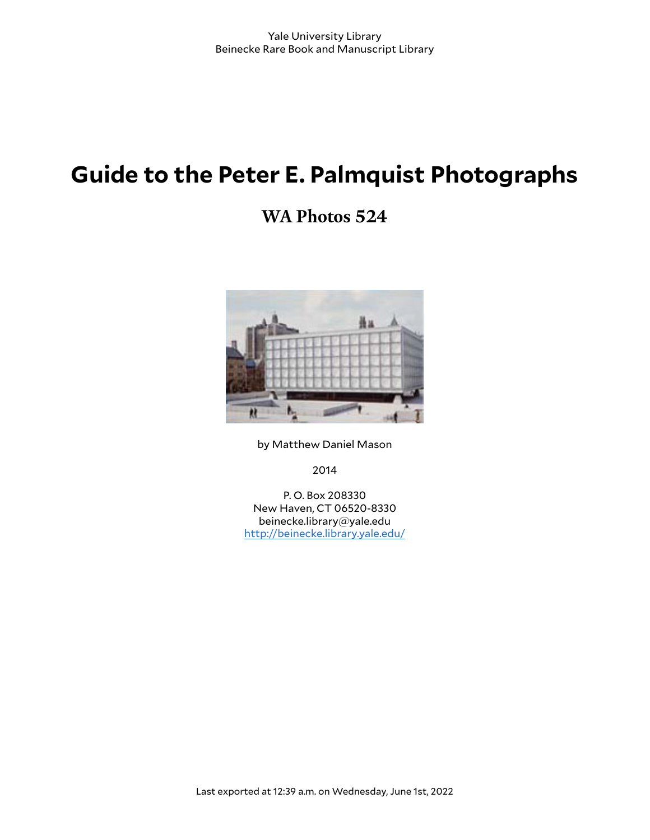# **Guide to the Peter E. Palmquist Photographs**

## **WA Photos 524**



by Matthew Daniel Mason

2014

P. O. Box 208330 New Haven, CT 06520-8330 beinecke.library@yale.edu <http://beinecke.library.yale.edu/>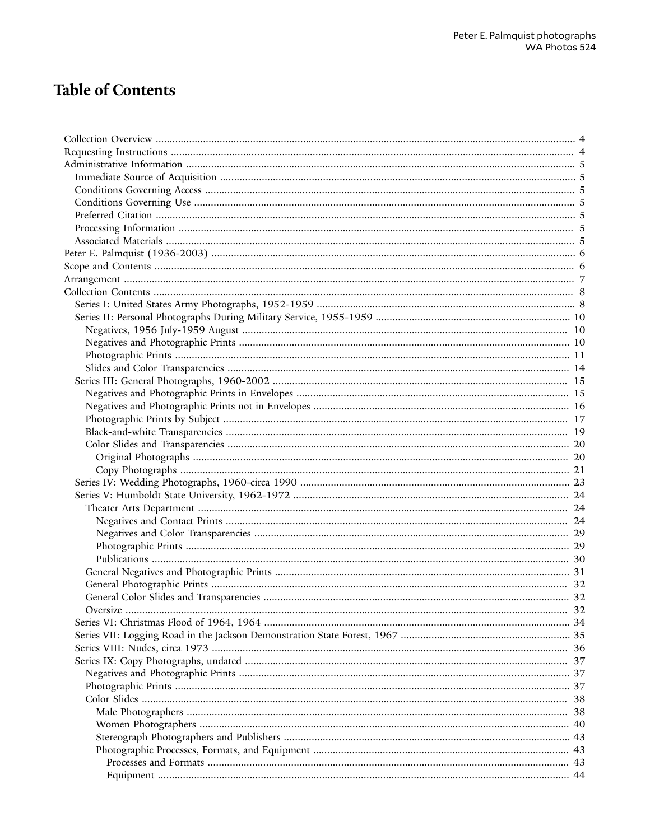## **Table of Contents**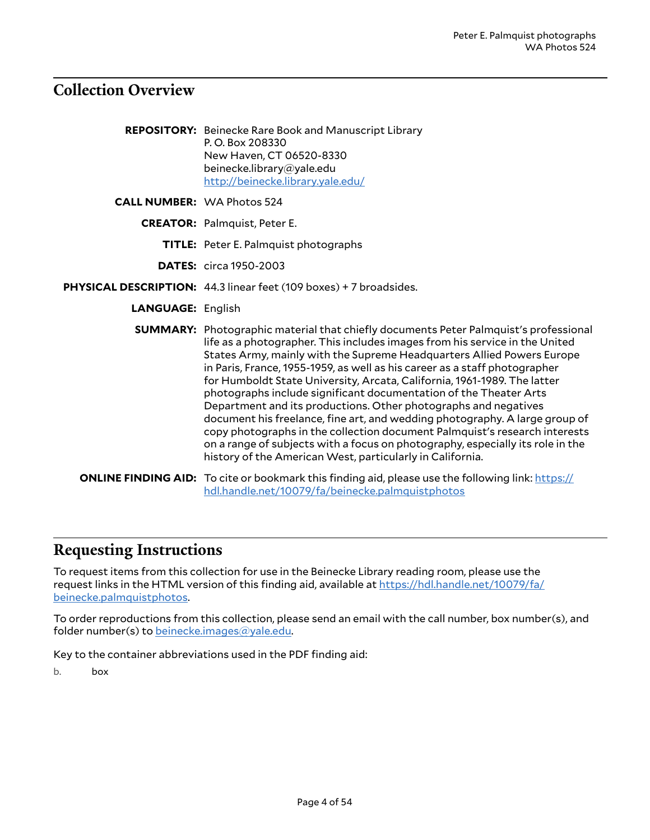## <span id="page-3-0"></span>**Collection Overview**

|                                   | <b>REPOSITORY:</b> Beinecke Rare Book and Manuscript Library<br>P.O. Box 208330<br>New Haven, CT 06520-8330<br>beinecke.library@yale.edu<br>http://beinecke.library.yale.edu/                                                                                                                                                                                                                                                                                                                                                                                                                                                                                                                                                                                                                                                                                      |
|-----------------------------------|--------------------------------------------------------------------------------------------------------------------------------------------------------------------------------------------------------------------------------------------------------------------------------------------------------------------------------------------------------------------------------------------------------------------------------------------------------------------------------------------------------------------------------------------------------------------------------------------------------------------------------------------------------------------------------------------------------------------------------------------------------------------------------------------------------------------------------------------------------------------|
| <b>CALL NUMBER: WA Photos 524</b> |                                                                                                                                                                                                                                                                                                                                                                                                                                                                                                                                                                                                                                                                                                                                                                                                                                                                    |
|                                   | <b>CREATOR:</b> Palmquist, Peter E.                                                                                                                                                                                                                                                                                                                                                                                                                                                                                                                                                                                                                                                                                                                                                                                                                                |
|                                   | <b>TITLE:</b> Peter E. Palmquist photographs                                                                                                                                                                                                                                                                                                                                                                                                                                                                                                                                                                                                                                                                                                                                                                                                                       |
|                                   | <b>DATES:</b> circa 1950-2003                                                                                                                                                                                                                                                                                                                                                                                                                                                                                                                                                                                                                                                                                                                                                                                                                                      |
|                                   | PHYSICAL DESCRIPTION: 44.3 linear feet (109 boxes) + 7 broadsides.                                                                                                                                                                                                                                                                                                                                                                                                                                                                                                                                                                                                                                                                                                                                                                                                 |
| <b>LANGUAGE: English</b>          |                                                                                                                                                                                                                                                                                                                                                                                                                                                                                                                                                                                                                                                                                                                                                                                                                                                                    |
|                                   | <b>SUMMARY:</b> Photographic material that chiefly documents Peter Palmquist's professional<br>life as a photographer. This includes images from his service in the United<br>States Army, mainly with the Supreme Headquarters Allied Powers Europe<br>in Paris, France, 1955-1959, as well as his career as a staff photographer<br>for Humboldt State University, Arcata, California, 1961-1989. The latter<br>photographs include significant documentation of the Theater Arts<br>Department and its productions. Other photographs and negatives<br>document his freelance, fine art, and wedding photography. A large group of<br>copy photographs in the collection document Palmquist's research interests<br>on a range of subjects with a focus on photography, especially its role in the<br>history of the American West, particularly in California. |
|                                   | <b>ONLINE FINDING AID:</b> To cite or bookmark this finding aid, please use the following link: https://<br>hdl.handle.net/10079/fa/beinecke.palmquistphotos                                                                                                                                                                                                                                                                                                                                                                                                                                                                                                                                                                                                                                                                                                       |

## <span id="page-3-1"></span>**Requesting Instructions**

To request items from this collection for use in the Beinecke Library reading room, please use the request links in the HTML version of this finding aid, available at [https://hdl.handle.net/10079/fa/](https://hdl.handle.net/10079/fa/beinecke.palmquistphotos) [beinecke.palmquistphotos.](https://hdl.handle.net/10079/fa/beinecke.palmquistphotos)

To order reproductions from this collection, please send an email with the call number, box number(s), and folder number(s) to [beinecke.images@yale.edu.](mailto:beinecke.images@yale.edu)

Key to the container abbreviations used in the PDF finding aid:

b. box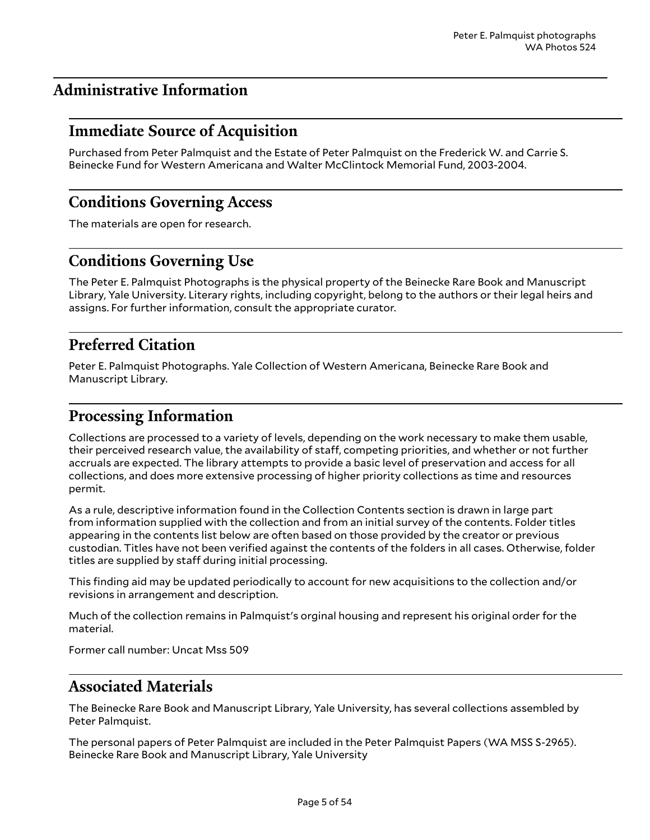## <span id="page-4-0"></span>**Administrative Information**

## <span id="page-4-1"></span>**Immediate Source of Acquisition**

Purchased from Peter Palmquist and the Estate of Peter Palmquist on the Frederick W. and Carrie S. Beinecke Fund for Western Americana and Walter McClintock Memorial Fund, 2003-2004.

## <span id="page-4-2"></span>**Conditions Governing Access**

The materials are open for research.

## <span id="page-4-3"></span>**Conditions Governing Use**

The Peter E. Palmquist Photographs is the physical property of the Beinecke Rare Book and Manuscript Library, Yale University. Literary rights, including copyright, belong to the authors or their legal heirs and assigns. For further information, consult the appropriate curator.

## <span id="page-4-4"></span>**Preferred Citation**

Peter E. Palmquist Photographs. Yale Collection of Western Americana, Beinecke Rare Book and Manuscript Library.

## <span id="page-4-5"></span>**Processing Information**

Collections are processed to a variety of levels, depending on the work necessary to make them usable, their perceived research value, the availability of staff, competing priorities, and whether or not further accruals are expected. The library attempts to provide a basic level of preservation and access for all collections, and does more extensive processing of higher priority collections as time and resources permit.

As a rule, descriptive information found in the Collection Contents section is drawn in large part from information supplied with the collection and from an initial survey of the contents. Folder titles appearing in the contents list below are often based on those provided by the creator or previous custodian. Titles have not been verified against the contents of the folders in all cases. Otherwise, folder titles are supplied by staff during initial processing.

This finding aid may be updated periodically to account for new acquisitions to the collection and/or revisions in arrangement and description.

Much of the collection remains in Palmquist's orginal housing and represent his original order for the material.

Former call number: Uncat Mss 509

## <span id="page-4-6"></span>**Associated Materials**

The Beinecke Rare Book and Manuscript Library, Yale University, has several collections assembled by Peter Palmquist.

The personal papers of Peter Palmquist are included in the Peter Palmquist Papers (WA MSS S-2965). Beinecke Rare Book and Manuscript Library, Yale University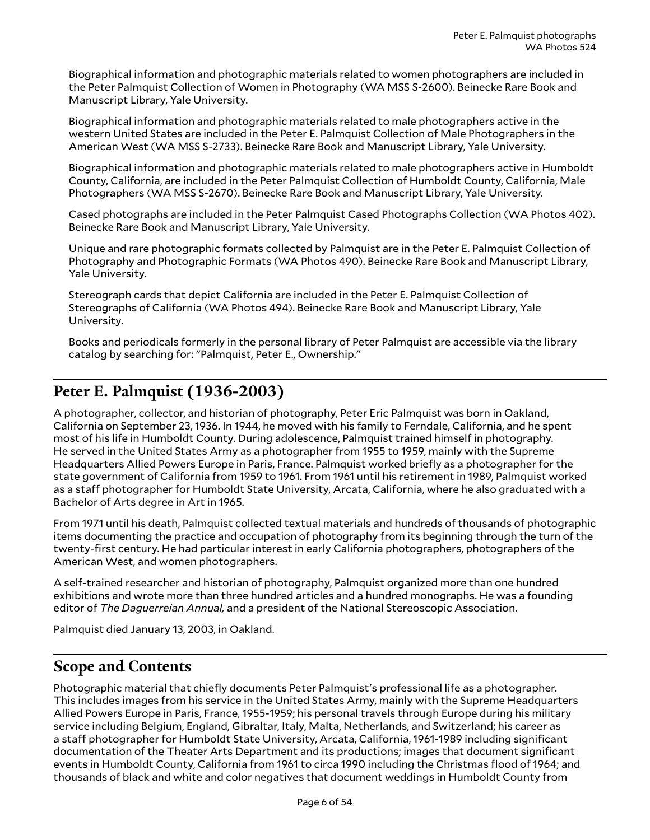Biographical information and photographic materials related to women photographers are included in the Peter Palmquist Collection of Women in Photography (WA MSS S-2600). Beinecke Rare Book and Manuscript Library, Yale University.

Biographical information and photographic materials related to male photographers active in the western United States are included in the Peter E. Palmquist Collection of Male Photographers in the American West (WA MSS S-2733). Beinecke Rare Book and Manuscript Library, Yale University.

Biographical information and photographic materials related to male photographers active in Humboldt County, California, are included in the Peter Palmquist Collection of Humboldt County, California, Male Photographers (WA MSS S-2670). Beinecke Rare Book and Manuscript Library, Yale University.

Cased photographs are included in the Peter Palmquist Cased Photographs Collection (WA Photos 402). Beinecke Rare Book and Manuscript Library, Yale University.

Unique and rare photographic formats collected by Palmquist are in the Peter E. Palmquist Collection of Photography and Photographic Formats (WA Photos 490). Beinecke Rare Book and Manuscript Library, Yale University.

Stereograph cards that depict California are included in the Peter E. Palmquist Collection of Stereographs of California (WA Photos 494). Beinecke Rare Book and Manuscript Library, Yale University.

Books and periodicals formerly in the personal library of Peter Palmquist are accessible via the library catalog by searching for: "Palmquist, Peter E., Ownership."

## <span id="page-5-0"></span>**Peter E. Palmquist (1936-2003)**

A photographer, collector, and historian of photography, Peter Eric Palmquist was born in Oakland, California on September 23, 1936. In 1944, he moved with his family to Ferndale, California, and he spent most of his life in Humboldt County. During adolescence, Palmquist trained himself in photography. He served in the United States Army as a photographer from 1955 to 1959, mainly with the Supreme Headquarters Allied Powers Europe in Paris, France. Palmquist worked briefly as a photographer for the state government of California from 1959 to 1961. From 1961 until his retirement in 1989, Palmquist worked as a staff photographer for Humboldt State University, Arcata, California, where he also graduated with a Bachelor of Arts degree in Art in 1965.

From 1971 until his death, Palmquist collected textual materials and hundreds of thousands of photographic items documenting the practice and occupation of photography from its beginning through the turn of the twenty-first century. He had particular interest in early California photographers, photographers of the American West, and women photographers.

A self-trained researcher and historian of photography, Palmquist organized more than one hundred exhibitions and wrote more than three hundred articles and a hundred monographs. He was a founding editor of *The Daguerreian Annual,* and a president of the National Stereoscopic Association.

Palmquist died January 13, 2003, in Oakland.

## <span id="page-5-1"></span>**Scope and Contents**

Photographic material that chiefly documents Peter Palmquist's professional life as a photographer. This includes images from his service in the United States Army, mainly with the Supreme Headquarters Allied Powers Europe in Paris, France, 1955-1959; his personal travels through Europe during his military service including Belgium, England, Gibraltar, Italy, Malta, Netherlands, and Switzerland; his career as a staff photographer for Humboldt State University, Arcata, California, 1961-1989 including significant documentation of the Theater Arts Department and its productions; images that document significant events in Humboldt County, California from 1961 to circa 1990 including the Christmas flood of 1964; and thousands of black and white and color negatives that document weddings in Humboldt County from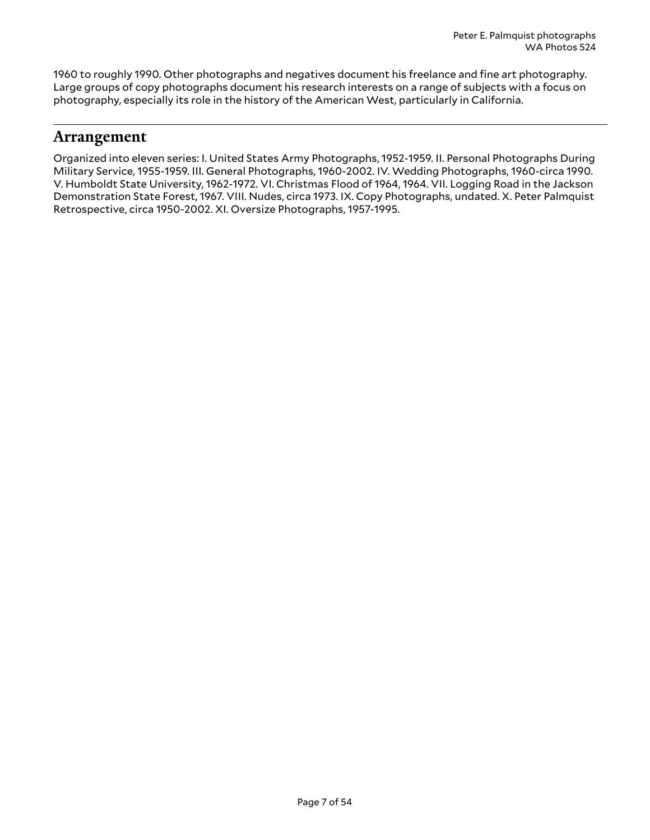1960 to roughly 1990. Other photographs and negatives document his freelance and fine art photography. Large groups of copy photographs document his research interests on a range of subjects with a focus on photography, especially its role in the history of the American West, particularly in California.

## <span id="page-6-0"></span>**Arrangement**

Organized into eleven series: I. United States Army Photographs, 1952-1959. II. Personal Photographs During Military Service, 1955-1959. III. General Photographs, 1960-2002. IV. Wedding Photographs, 1960-circa 1990. V. Humboldt State University, 1962-1972. VI. Christmas Flood of 1964, 1964. VII. Logging Road in the Jackson Demonstration State Forest, 1967. VIII. Nudes, circa 1973. IX. Copy Photographs, undated. X. Peter Palmquist Retrospective, circa 1950-2002. XI. Oversize Photographs, 1957-1995.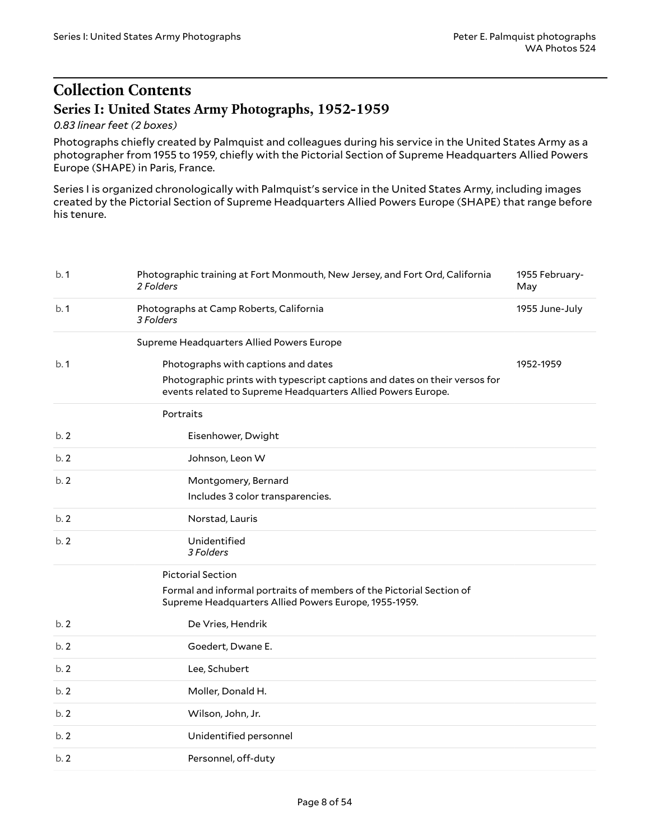## <span id="page-7-0"></span>**Collection Contents Series I: United States Army Photographs, 1952-1959**

## <span id="page-7-1"></span>*0.83 linear feet (2 boxes)*

Photographs chiefly created by Palmquist and colleagues during his service in the United States Army as a photographer from 1955 to 1959, chiefly with the Pictorial Section of Supreme Headquarters Allied Powers Europe (SHAPE) in Paris, France.

Series I is organized chronologically with Palmquist's service in the United States Army, including images created by the Pictorial Section of Supreme Headquarters Allied Powers Europe (SHAPE) that range before his tenure.

| b.1 | Photographic training at Fort Monmouth, New Jersey, and Fort Ord, California<br>2 Folders                                                  | 1955 February-<br>May |
|-----|--------------------------------------------------------------------------------------------------------------------------------------------|-----------------------|
| b.1 | Photographs at Camp Roberts, California<br>3 Folders                                                                                       | 1955 June-July        |
|     | Supreme Headquarters Allied Powers Europe                                                                                                  |                       |
| b.1 | Photographs with captions and dates                                                                                                        | 1952-1959             |
|     | Photographic prints with typescript captions and dates on their versos for<br>events related to Supreme Headquarters Allied Powers Europe. |                       |
|     | Portraits                                                                                                                                  |                       |
| b.2 | Eisenhower, Dwight                                                                                                                         |                       |
| b.2 | Johnson, Leon W                                                                                                                            |                       |
| b.2 | Montgomery, Bernard                                                                                                                        |                       |
|     | Includes 3 color transparencies.                                                                                                           |                       |
| b.2 | Norstad, Lauris                                                                                                                            |                       |
| b.2 | Unidentified<br>3 Folders                                                                                                                  |                       |
|     | <b>Pictorial Section</b>                                                                                                                   |                       |
|     | Formal and informal portraits of members of the Pictorial Section of<br>Supreme Headquarters Allied Powers Europe, 1955-1959.              |                       |
| b.2 | De Vries, Hendrik                                                                                                                          |                       |
| b.2 | Goedert, Dwane E.                                                                                                                          |                       |
| b.2 | Lee, Schubert                                                                                                                              |                       |
| b.2 | Moller, Donald H.                                                                                                                          |                       |
| b.2 | Wilson, John, Jr.                                                                                                                          |                       |
| b.2 | Unidentified personnel                                                                                                                     |                       |
| b.2 | Personnel, off-duty                                                                                                                        |                       |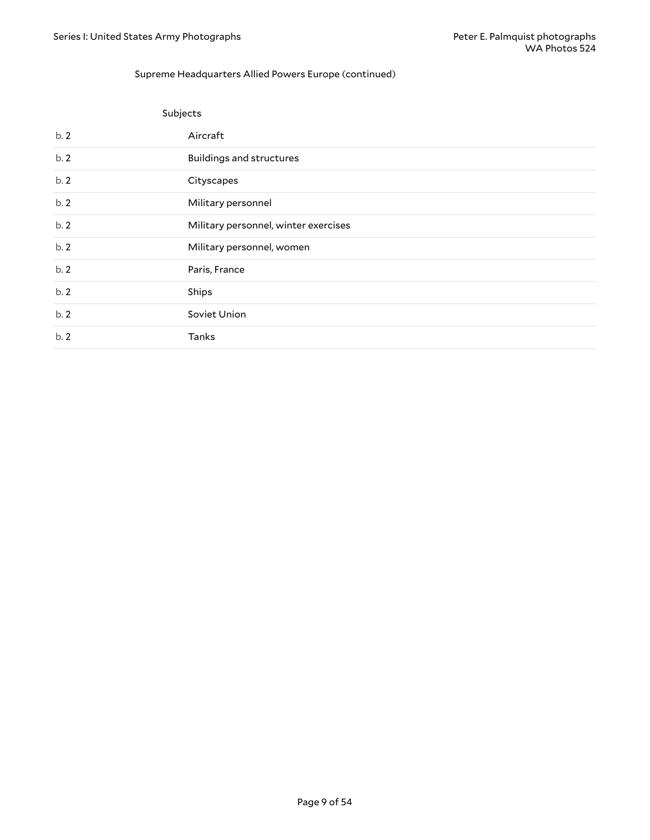#### Supreme Headquarters Allied Powers Europe (continued)

|     | Subjects                             |
|-----|--------------------------------------|
| b.2 | Aircraft                             |
| b.2 | <b>Buildings and structures</b>      |
| b.2 | Cityscapes                           |
| b.2 | Military personnel                   |
| b.2 | Military personnel, winter exercises |
| b.2 | Military personnel, women            |
| b.2 | Paris, France                        |
| b.2 | Ships                                |
| b.2 | Soviet Union                         |
| b.2 | <b>Tanks</b>                         |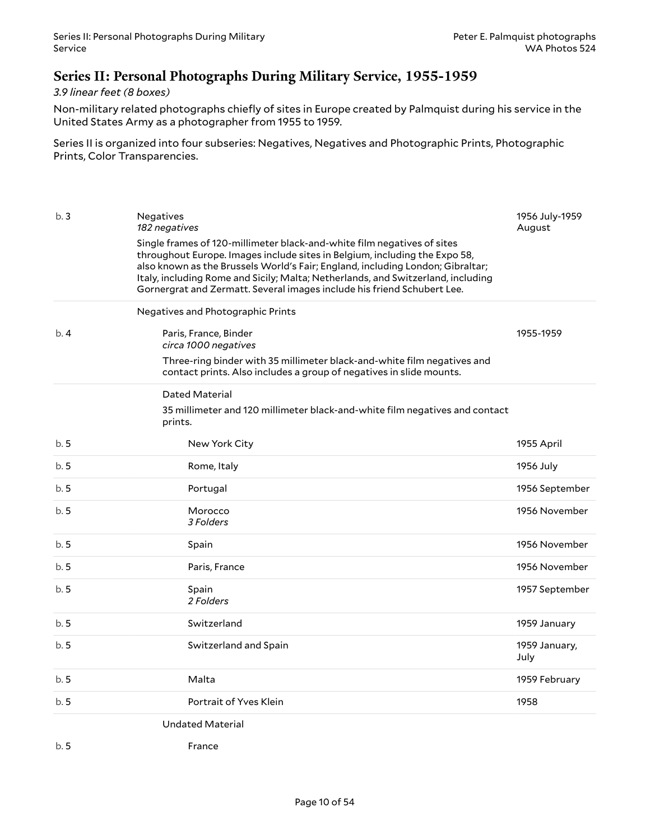## <span id="page-9-0"></span>**Series II: Personal Photographs During Military Service, 1955-1959**

## *3.9 linear feet (8 boxes)*

Non-military related photographs chiefly of sites in Europe created by Palmquist during his service in the United States Army as a photographer from 1955 to 1959.

Series II is organized into four subseries: Negatives, Negatives and Photographic Prints, Photographic Prints, Color Transparencies.

<span id="page-9-2"></span><span id="page-9-1"></span>

| b.3  | <b>Negatives</b><br>182 negatives                                                                                                                                                                                                                                                                                                                                                                      | 1956 July-1959<br>August |
|------|--------------------------------------------------------------------------------------------------------------------------------------------------------------------------------------------------------------------------------------------------------------------------------------------------------------------------------------------------------------------------------------------------------|--------------------------|
|      | Single frames of 120-millimeter black-and-white film negatives of sites<br>throughout Europe. Images include sites in Belgium, including the Expo 58,<br>also known as the Brussels World's Fair; England, including London; Gibraltar;<br>Italy, including Rome and Sicily; Malta; Netherlands, and Switzerland, including<br>Gornergrat and Zermatt. Several images include his friend Schubert Lee. |                          |
|      | Negatives and Photographic Prints                                                                                                                                                                                                                                                                                                                                                                      |                          |
| b.4  | Paris, France, Binder<br>circa 1000 negatives                                                                                                                                                                                                                                                                                                                                                          | 1955-1959                |
|      | Three-ring binder with 35 millimeter black-and-white film negatives and<br>contact prints. Also includes a group of negatives in slide mounts.                                                                                                                                                                                                                                                         |                          |
|      | Dated Material                                                                                                                                                                                                                                                                                                                                                                                         |                          |
|      | 35 millimeter and 120 millimeter black-and-white film negatives and contact<br>prints.                                                                                                                                                                                                                                                                                                                 |                          |
| b.5  | New York City                                                                                                                                                                                                                                                                                                                                                                                          | 1955 April               |
| b. 5 | Rome, Italy                                                                                                                                                                                                                                                                                                                                                                                            | 1956 July                |
| b.5  | Portugal                                                                                                                                                                                                                                                                                                                                                                                               | 1956 September           |
| b.5  | Morocco<br>3 Folders                                                                                                                                                                                                                                                                                                                                                                                   | 1956 November            |
| b.5  | Spain                                                                                                                                                                                                                                                                                                                                                                                                  | 1956 November            |
| b. 5 | Paris, France                                                                                                                                                                                                                                                                                                                                                                                          | 1956 November            |
| b.5  | Spain<br>2 Folders                                                                                                                                                                                                                                                                                                                                                                                     | 1957 September           |
| b.5  | Switzerland                                                                                                                                                                                                                                                                                                                                                                                            | 1959 January             |
| b.5  | Switzerland and Spain                                                                                                                                                                                                                                                                                                                                                                                  | 1959 January,<br>July    |
| b.5  | Malta                                                                                                                                                                                                                                                                                                                                                                                                  | 1959 February            |
| b.5  | Portrait of Yves Klein                                                                                                                                                                                                                                                                                                                                                                                 | 1958                     |
|      | <b>Undated Material</b>                                                                                                                                                                                                                                                                                                                                                                                |                          |
| b.5  | France                                                                                                                                                                                                                                                                                                                                                                                                 |                          |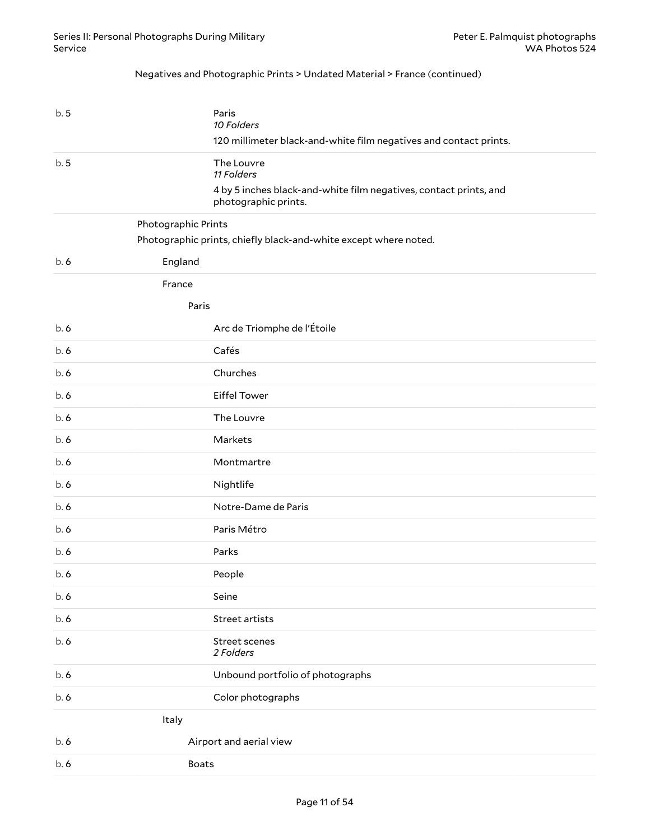#### Negatives and Photographic Prints > Undated Material > France (continued)

<span id="page-10-0"></span>

| b.5                 | Paris<br>10 Folders<br>120 millimeter black-and-white film negatives and contact prints.  |
|---------------------|-------------------------------------------------------------------------------------------|
| b.5                 | The Louvre<br>11 Folders                                                                  |
|                     | 4 by 5 inches black-and-white film negatives, contact prints, and<br>photographic prints. |
| Photographic Prints | Photographic prints, chiefly black-and-white except where noted.                          |
| England<br>b.6      |                                                                                           |
| France              |                                                                                           |
|                     | Paris                                                                                     |
| b.6                 | Arc de Triomphe de l'Étoile                                                               |
| b.6                 | Cafés                                                                                     |
| b.6                 | Churches                                                                                  |
| b.6                 | <b>Eiffel Tower</b>                                                                       |
| b.6                 | The Louvre                                                                                |
| b.6                 | Markets                                                                                   |
| b.6                 | Montmartre                                                                                |
| b.6                 | Nightlife                                                                                 |
| b.6                 | Notre-Dame de Paris                                                                       |
| b.6                 | Paris Métro                                                                               |
| b.6                 | Parks                                                                                     |
| b.6                 | People                                                                                    |
| b.6                 | Seine                                                                                     |
| b.6                 | Street artists                                                                            |
| b.6                 | Street scenes<br>2 Folders                                                                |
| b.6                 | Unbound portfolio of photographs                                                          |
| b.6                 | Color photographs                                                                         |
| Italy               |                                                                                           |
| b.6                 | Airport and aerial view                                                                   |
| b.6                 | <b>Boats</b>                                                                              |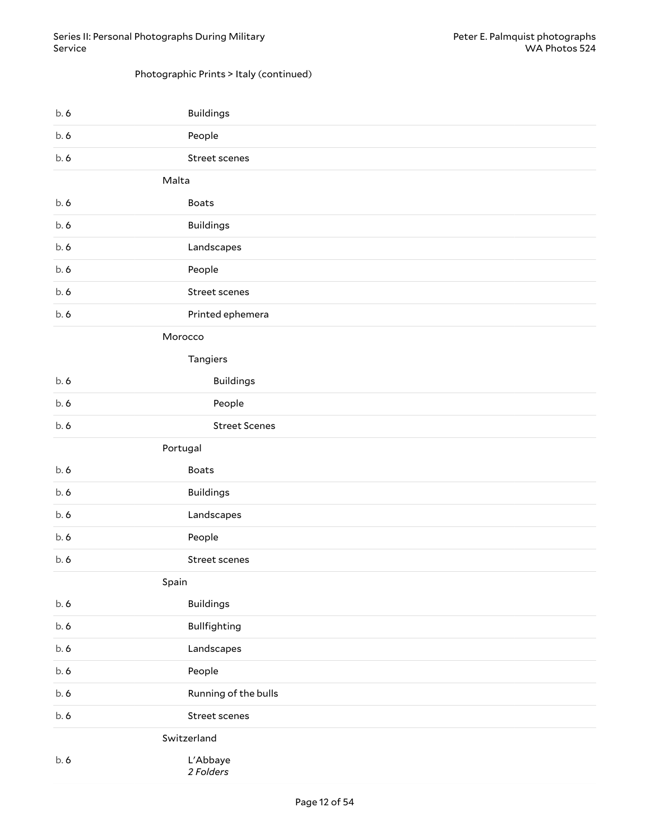## Photographic Prints > Italy (continued)

|       | <b>Buildings</b>     |
|-------|----------------------|
| b.6   | People               |
| b.6   | Street scenes        |
| Malta |                      |
| b.6   | <b>Boats</b>         |
| b.6   | <b>Buildings</b>     |
| b.6   | Landscapes           |
| b.6   | People               |
| b.6   | Street scenes        |
| b.6   | Printed ephemera     |
|       | Morocco              |
|       | Tangiers             |
| b.6   | <b>Buildings</b>     |
| b.6   | People               |
| b.6   | <b>Street Scenes</b> |
|       | Portugal             |
|       |                      |
| b.6   | <b>Boats</b>         |
| b.6   | <b>Buildings</b>     |
| b.6   | Landscapes           |
| b.6   | People               |
| b.6   | Street scenes        |
| Spain |                      |
| b.6   | <b>Buildings</b>     |
| b.6   | Bullfighting         |
| b.6   | Landscapes           |
| b.6   | People               |
| b.6   | Running of the bulls |
| b.6   | Street scenes        |
|       | Switzerland          |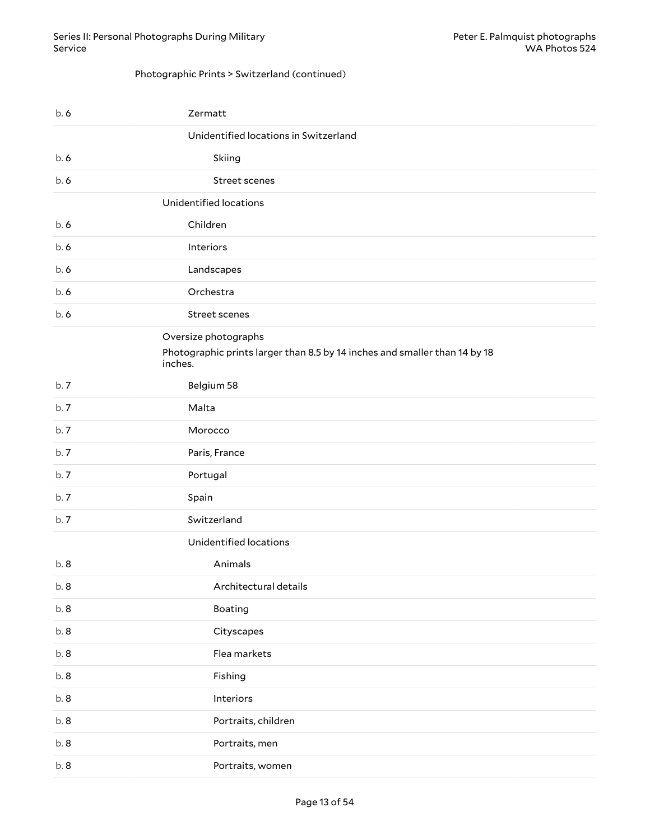#### Photographic Prints > Switzerland (continued)

| b.6 | Zermatt                                                                                                       |
|-----|---------------------------------------------------------------------------------------------------------------|
|     | Unidentified locations in Switzerland                                                                         |
| b.6 | Skiing                                                                                                        |
| b.6 | Street scenes                                                                                                 |
|     | Unidentified locations                                                                                        |
| b.6 | Children                                                                                                      |
| b.6 | Interiors                                                                                                     |
| b.6 | Landscapes                                                                                                    |
| b.6 | Orchestra                                                                                                     |
| b.6 | Street scenes                                                                                                 |
|     | Oversize photographs<br>Photographic prints larger than 8.5 by 14 inches and smaller than 14 by 18<br>inches. |
| b.7 | Belgium 58                                                                                                    |
| b.7 | Malta                                                                                                         |
| b.7 | Morocco                                                                                                       |
| b.7 | Paris, France                                                                                                 |
| b.7 | Portugal                                                                                                      |
| b.7 | Spain                                                                                                         |
| b.7 | Switzerland                                                                                                   |
|     | Unidentified locations                                                                                        |
| b.8 | Animals                                                                                                       |
| b.8 | Architectural details                                                                                         |
| b.8 | Boating                                                                                                       |
| b.8 | Cityscapes                                                                                                    |
| b.8 | Flea markets                                                                                                  |
| b.8 | Fishing                                                                                                       |
| b.8 | Interiors                                                                                                     |
| b.8 | Portraits, children                                                                                           |
| b.8 | Portraits, men                                                                                                |
| b.8 | Portraits, women                                                                                              |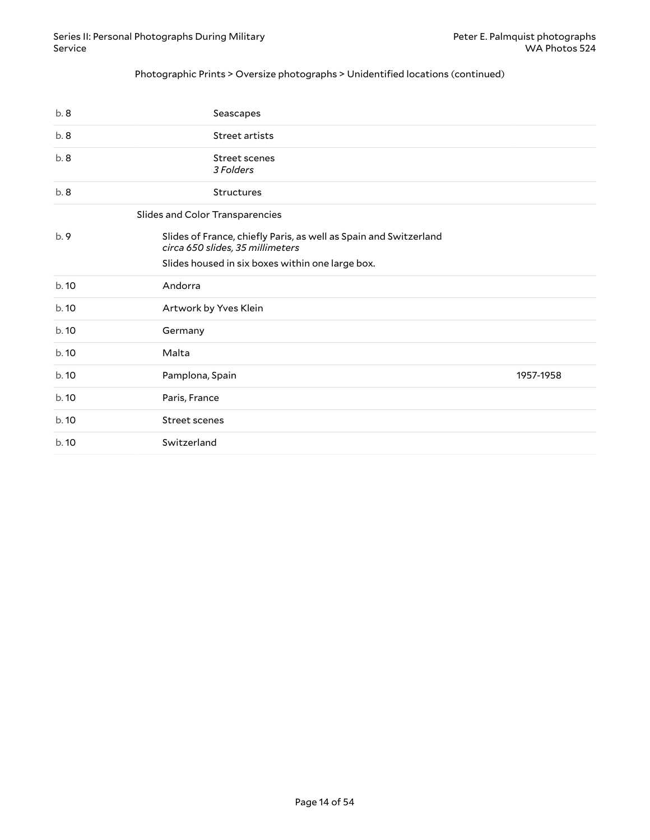### Photographic Prints > Oversize photographs > Unidentified locations (continued)

<span id="page-13-0"></span>

| b.8   | Seascapes                                                                                             |           |
|-------|-------------------------------------------------------------------------------------------------------|-----------|
| b.8   | Street artists                                                                                        |           |
| b.8   | Street scenes<br>3 Folders                                                                            |           |
| b.8   | <b>Structures</b>                                                                                     |           |
|       | Slides and Color Transparencies                                                                       |           |
| b.9   | Slides of France, chiefly Paris, as well as Spain and Switzerland<br>circa 650 slides, 35 millimeters |           |
|       | Slides housed in six boxes within one large box.                                                      |           |
| b. 10 | Andorra                                                                                               |           |
| b. 10 | Artwork by Yves Klein                                                                                 |           |
| b.10  | Germany                                                                                               |           |
| b. 10 | Malta                                                                                                 |           |
| b.10  | Pamplona, Spain                                                                                       | 1957-1958 |
| b.10  | Paris, France                                                                                         |           |
| b.10  | Street scenes                                                                                         |           |
| b.10  | Switzerland                                                                                           |           |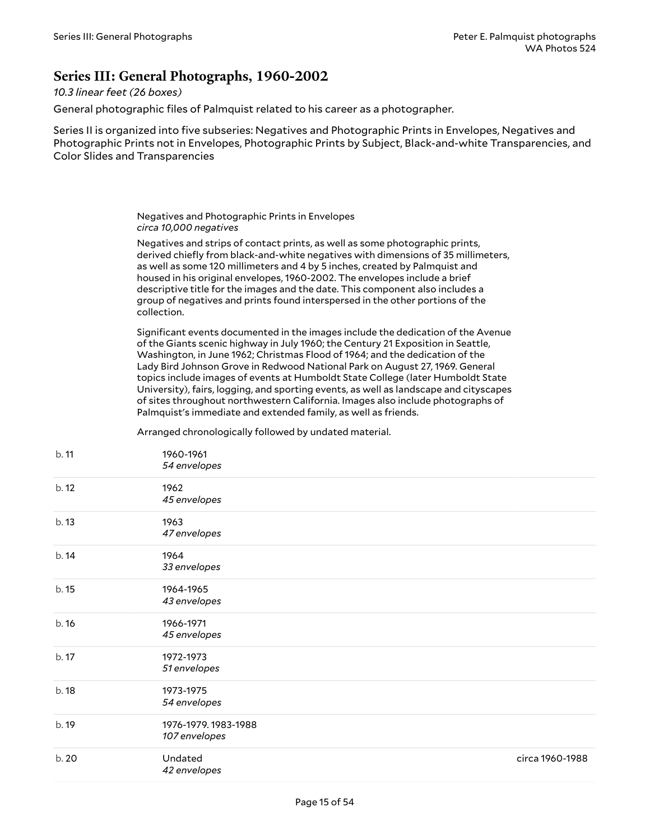## <span id="page-14-0"></span>**Series III: General Photographs, 1960-2002**

#### *10.3 linear feet (26 boxes)*

General photographic files of Palmquist related to his career as a photographer.

Series II is organized into five subseries: Negatives and Photographic Prints in Envelopes, Negatives and Photographic Prints not in Envelopes, Photographic Prints by Subject, Black-and-white Transparencies, and Color Slides and Transparencies

> <span id="page-14-1"></span>Negatives and Photographic Prints in Envelopes *circa 10,000 negatives*

Negatives and strips of contact prints, as well as some photographic prints, derived chiefly from black-and-white negatives with dimensions of 35 millimeters, as well as some 120 millimeters and 4 by 5 inches, created by Palmquist and housed in his original envelopes, 1960-2002. The envelopes include a brief descriptive title for the images and the date. This component also includes a group of negatives and prints found interspersed in the other portions of the collection.

Significant events documented in the images include the dedication of the Avenue of the Giants scenic highway in July 1960; the Century 21 Exposition in Seattle, Washington, in June 1962; Christmas Flood of 1964; and the dedication of the Lady Bird Johnson Grove in Redwood National Park on August 27, 1969. General topics include images of events at Humboldt State College (later Humboldt State University), fairs, logging, and sporting events, as well as landscape and cityscapes of sites throughout northwestern California. Images also include photographs of Palmquist's immediate and extended family, as well as friends.

Arranged chronologically followed by undated material.

| b. 11 | 1960-1961<br>54 envelopes            |                 |
|-------|--------------------------------------|-----------------|
| b.12  | 1962<br>45 envelopes                 |                 |
| b.13  | 1963<br>47 envelopes                 |                 |
| b.14  | 1964<br>33 envelopes                 |                 |
| b. 15 | 1964-1965<br>43 envelopes            |                 |
| b.16  | 1966-1971<br>45 envelopes            |                 |
| b. 17 | 1972-1973<br>51 envelopes            |                 |
| b. 18 | 1973-1975<br>54 envelopes            |                 |
| b. 19 | 1976-1979.1983-1988<br>107 envelopes |                 |
| b. 20 | Undated<br>42 envelopes              | circa 1960-1988 |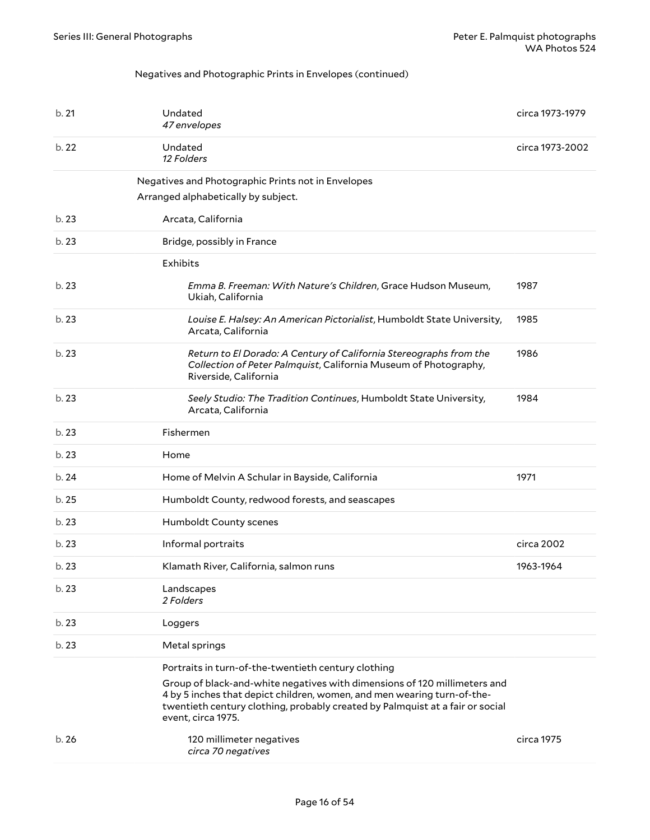### <span id="page-15-0"></span>Negatives and Photographic Prints in Envelopes (continued)

| b.21  | Undated<br>47 envelopes                                                                                                                                                                                                                                                                                            | circa 1973-1979 |
|-------|--------------------------------------------------------------------------------------------------------------------------------------------------------------------------------------------------------------------------------------------------------------------------------------------------------------------|-----------------|
| b.22  | Undated<br>12 Folders                                                                                                                                                                                                                                                                                              | circa 1973-2002 |
|       | Negatives and Photographic Prints not in Envelopes<br>Arranged alphabetically by subject.                                                                                                                                                                                                                          |                 |
| b. 23 | Arcata, California                                                                                                                                                                                                                                                                                                 |                 |
| b.23  | Bridge, possibly in France                                                                                                                                                                                                                                                                                         |                 |
|       | <b>Exhibits</b>                                                                                                                                                                                                                                                                                                    |                 |
| b.23  | Emma B. Freeman: With Nature's Children, Grace Hudson Museum,<br>Ukiah, California                                                                                                                                                                                                                                 | 1987            |
| b.23  | Louise E. Halsey: An American Pictorialist, Humboldt State University,<br>Arcata, California                                                                                                                                                                                                                       | 1985            |
| b.23  | Return to El Dorado: A Century of California Stereographs from the<br>Collection of Peter Palmquist, California Museum of Photography,<br>Riverside, California                                                                                                                                                    | 1986            |
| b. 23 | Seely Studio: The Tradition Continues, Humboldt State University,<br>Arcata, California                                                                                                                                                                                                                            | 1984            |
| b.23  | Fishermen                                                                                                                                                                                                                                                                                                          |                 |
| b.23  | Home                                                                                                                                                                                                                                                                                                               |                 |
| b. 24 | Home of Melvin A Schular in Bayside, California                                                                                                                                                                                                                                                                    | 1971            |
| b.25  | Humboldt County, redwood forests, and seascapes                                                                                                                                                                                                                                                                    |                 |
| b.23  | Humboldt County scenes                                                                                                                                                                                                                                                                                             |                 |
| b.23  | Informal portraits                                                                                                                                                                                                                                                                                                 | circa 2002      |
| b.23  | Klamath River, California, salmon runs                                                                                                                                                                                                                                                                             | 1963-1964       |
| b. 23 | Landscapes<br>2 Folders                                                                                                                                                                                                                                                                                            |                 |
| b. 23 | Loggers                                                                                                                                                                                                                                                                                                            |                 |
| b.23  | Metal springs                                                                                                                                                                                                                                                                                                      |                 |
|       | Portraits in turn-of-the-twentieth century clothing<br>Group of black-and-white negatives with dimensions of 120 millimeters and<br>4 by 5 inches that depict children, women, and men wearing turn-of-the-<br>twentieth century clothing, probably created by Palmquist at a fair or social<br>event, circa 1975. |                 |
| b.26  | 120 millimeter negatives<br>circa 70 negatives                                                                                                                                                                                                                                                                     | circa 1975      |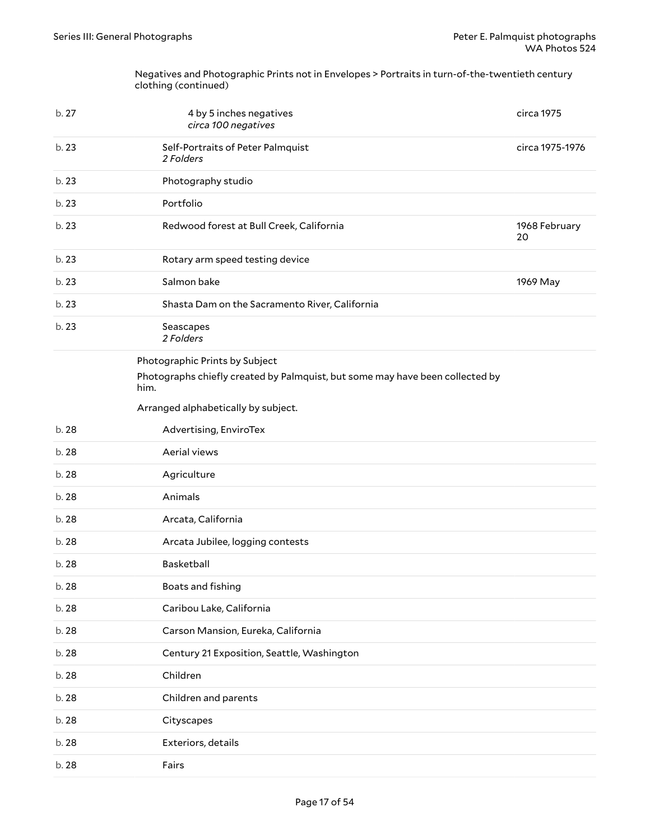Negatives and Photographic Prints not in Envelopes > Portraits in turn-of-the-twentieth century clothing (continued)

<span id="page-16-0"></span>

| b. 27 | 4 by 5 inches negatives<br>circa 100 negatives                                        | circa 1975          |
|-------|---------------------------------------------------------------------------------------|---------------------|
| b. 23 | Self-Portraits of Peter Palmquist<br>2 Folders                                        | circa 1975-1976     |
| b.23  | Photography studio                                                                    |                     |
| b. 23 | Portfolio                                                                             |                     |
| b.23  | Redwood forest at Bull Creek, California                                              | 1968 February<br>20 |
| b. 23 | Rotary arm speed testing device                                                       |                     |
| b. 23 | Salmon bake                                                                           | 1969 May            |
| b. 23 | Shasta Dam on the Sacramento River, California                                        |                     |
| b. 23 | Seascapes<br>2 Folders                                                                |                     |
|       | Photographic Prints by Subject                                                        |                     |
|       | Photographs chiefly created by Palmquist, but some may have been collected by<br>him. |                     |
|       | Arranged alphabetically by subject.                                                   |                     |
| b. 28 | Advertising, EnviroTex                                                                |                     |
| b. 28 | Aerial views                                                                          |                     |
| b. 28 | Agriculture                                                                           |                     |
| b. 28 | Animals                                                                               |                     |
| b. 28 | Arcata, California                                                                    |                     |
| b. 28 | Arcata Jubilee, logging contests                                                      |                     |
| b. 28 | Basketball                                                                            |                     |
| b. 28 | Boats and fishing                                                                     |                     |
| b. 28 | Caribou Lake, California                                                              |                     |
| b. 28 | Carson Mansion, Eureka, California                                                    |                     |
| b. 28 | Century 21 Exposition, Seattle, Washington                                            |                     |
| b. 28 | Children                                                                              |                     |
| b. 28 | Children and parents                                                                  |                     |
| b. 28 | Cityscapes                                                                            |                     |
| b. 28 | Exteriors, details                                                                    |                     |
| b. 28 | Fairs                                                                                 |                     |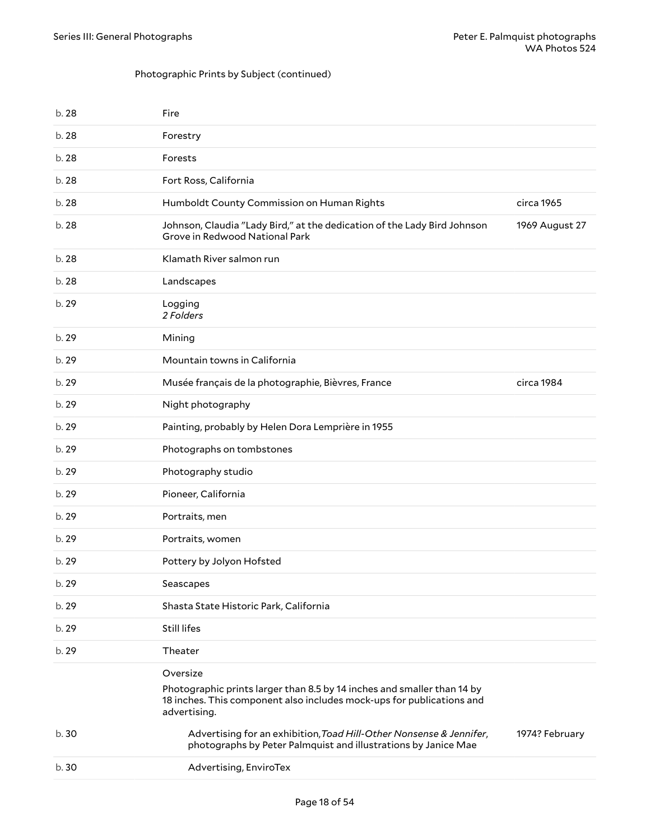## Photographic Prints by Subject (continued)

| b. 28 | Fire                                                                                                                                                                         |                |
|-------|------------------------------------------------------------------------------------------------------------------------------------------------------------------------------|----------------|
| b. 28 | Forestry                                                                                                                                                                     |                |
| b. 28 | Forests                                                                                                                                                                      |                |
| b. 28 | Fort Ross, California                                                                                                                                                        |                |
| b. 28 | Humboldt County Commission on Human Rights                                                                                                                                   | circa 1965     |
| b. 28 | Johnson, Claudia "Lady Bird," at the dedication of the Lady Bird Johnson<br>Grove in Redwood National Park                                                                   | 1969 August 27 |
| b. 28 | Klamath River salmon run                                                                                                                                                     |                |
| b. 28 | Landscapes                                                                                                                                                                   |                |
| b. 29 | Logging<br>2 Folders                                                                                                                                                         |                |
| b. 29 | Mining                                                                                                                                                                       |                |
| b. 29 | Mountain towns in California                                                                                                                                                 |                |
| b. 29 | Musée français de la photographie, Bièvres, France                                                                                                                           | circa 1984     |
| b. 29 | Night photography                                                                                                                                                            |                |
| b. 29 | Painting, probably by Helen Dora Lemprière in 1955                                                                                                                           |                |
| b. 29 | Photographs on tombstones                                                                                                                                                    |                |
| b. 29 | Photography studio                                                                                                                                                           |                |
| b. 29 | Pioneer, California                                                                                                                                                          |                |
| b. 29 | Portraits, men                                                                                                                                                               |                |
| b.29  | Portraits, women                                                                                                                                                             |                |
| b. 29 | Pottery by Jolyon Hofsted                                                                                                                                                    |                |
| b. 29 | Seascapes                                                                                                                                                                    |                |
| b. 29 | Shasta State Historic Park, California                                                                                                                                       |                |
| b.29  | <b>Still lifes</b>                                                                                                                                                           |                |
| b. 29 | Theater                                                                                                                                                                      |                |
|       | Oversize<br>Photographic prints larger than 8.5 by 14 inches and smaller than 14 by<br>18 inches. This component also includes mock-ups for publications and<br>advertising. |                |
| b.30  | Advertising for an exhibition, Toad Hill-Other Nonsense & Jennifer,<br>photographs by Peter Palmquist and illustrations by Janice Mae                                        | 1974? February |
| b.30  | Advertising, EnviroTex                                                                                                                                                       |                |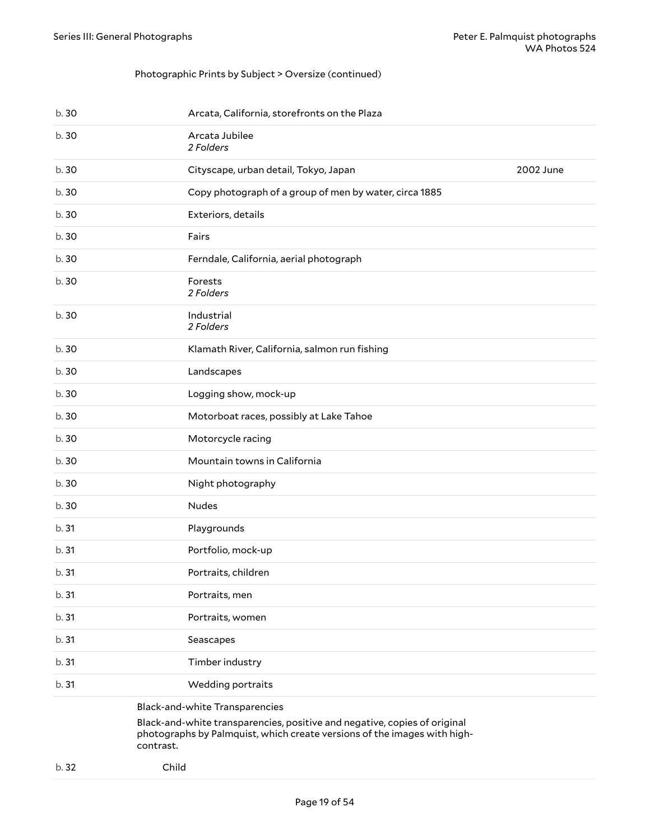#### Photographic Prints by Subject > Oversize (continued)

| b. 30 | Arcata, California, storefronts on the Plaza           |           |
|-------|--------------------------------------------------------|-----------|
| b. 30 | Arcata Jubilee<br>2 Folders                            |           |
| b. 30 | Cityscape, urban detail, Tokyo, Japan                  | 2002 June |
| b. 30 | Copy photograph of a group of men by water, circa 1885 |           |
| b. 30 | Exteriors, details                                     |           |
| b. 30 | Fairs                                                  |           |
| b. 30 | Ferndale, California, aerial photograph                |           |
| b. 30 | Forests<br>2 Folders                                   |           |
| b. 30 | Industrial<br>2 Folders                                |           |
| b. 30 | Klamath River, California, salmon run fishing          |           |
| b. 30 | Landscapes                                             |           |
| b. 30 | Logging show, mock-up                                  |           |
| b. 30 | Motorboat races, possibly at Lake Tahoe                |           |
| b. 30 | Motorcycle racing                                      |           |
| b. 30 | Mountain towns in California                           |           |
| b. 30 | Night photography                                      |           |
| b. 30 | <b>Nudes</b>                                           |           |
| b.31  | Playgrounds                                            |           |
| b.31  | Portfolio, mock-up                                     |           |
| b.31  | Portraits, children                                    |           |
| b.31  | Portraits, men                                         |           |
| b. 31 | Portraits, women                                       |           |
| b. 31 | Seascapes                                              |           |
| b. 31 | Timber industry                                        |           |
| b. 31 | Wedding portraits                                      |           |
|       | <b>Black-and-white Transparencies</b>                  |           |

<span id="page-18-0"></span>Black-and-white transparencies, positive and negative, copies of original photographs by Palmquist, which create versions of the images with highcontrast.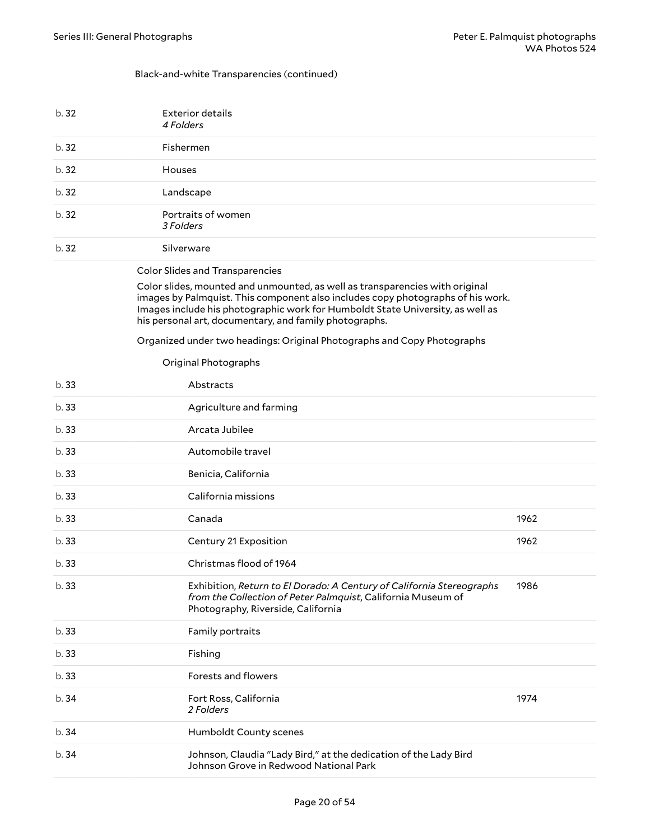#### Black-and-white Transparencies (continued)

<span id="page-19-1"></span><span id="page-19-0"></span>

| b.32  | <b>Exterior details</b><br>4 Folders                                                                                                                                                                                                                                                                        |      |
|-------|-------------------------------------------------------------------------------------------------------------------------------------------------------------------------------------------------------------------------------------------------------------------------------------------------------------|------|
| b.32  | Fishermen                                                                                                                                                                                                                                                                                                   |      |
| b. 32 | Houses                                                                                                                                                                                                                                                                                                      |      |
| b.32  | Landscape                                                                                                                                                                                                                                                                                                   |      |
| b.32  | Portraits of women<br>3 Folders                                                                                                                                                                                                                                                                             |      |
| b.32  | Silverware                                                                                                                                                                                                                                                                                                  |      |
|       | <b>Color Slides and Transparencies</b>                                                                                                                                                                                                                                                                      |      |
|       | Color slides, mounted and unmounted, as well as transparencies with original<br>images by Palmquist. This component also includes copy photographs of his work.<br>Images include his photographic work for Humboldt State University, as well as<br>his personal art, documentary, and family photographs. |      |
|       | Organized under two headings: Original Photographs and Copy Photographs                                                                                                                                                                                                                                     |      |
|       | Original Photographs                                                                                                                                                                                                                                                                                        |      |
| b.33  | Abstracts                                                                                                                                                                                                                                                                                                   |      |
| b.33  | Agriculture and farming                                                                                                                                                                                                                                                                                     |      |
| b.33  | Arcata Jubilee                                                                                                                                                                                                                                                                                              |      |
| b.33  | Automobile travel                                                                                                                                                                                                                                                                                           |      |
| b.33  | Benicia, California                                                                                                                                                                                                                                                                                         |      |
| b.33  | California missions                                                                                                                                                                                                                                                                                         |      |
| b.33  | Canada                                                                                                                                                                                                                                                                                                      | 1962 |
| b.33  | Century 21 Exposition                                                                                                                                                                                                                                                                                       | 1962 |
| b.33  | Christmas flood of 1964                                                                                                                                                                                                                                                                                     |      |
| b. 33 | Exhibition, Return to El Dorado: A Century of California Stereographs<br>from the Collection of Peter Palmquist, California Museum of<br>Photography, Riverside, California                                                                                                                                 | 1986 |
| b.33  | Family portraits                                                                                                                                                                                                                                                                                            |      |
| b.33  | Fishing                                                                                                                                                                                                                                                                                                     |      |
| b. 33 | Forests and flowers                                                                                                                                                                                                                                                                                         |      |
| b.34  | Fort Ross, California<br>2 Folders                                                                                                                                                                                                                                                                          | 1974 |
| b.34  | Humboldt County scenes                                                                                                                                                                                                                                                                                      |      |
| b.34  | Johnson, Claudia "Lady Bird," at the dedication of the Lady Bird<br>Johnson Grove in Redwood National Park                                                                                                                                                                                                  |      |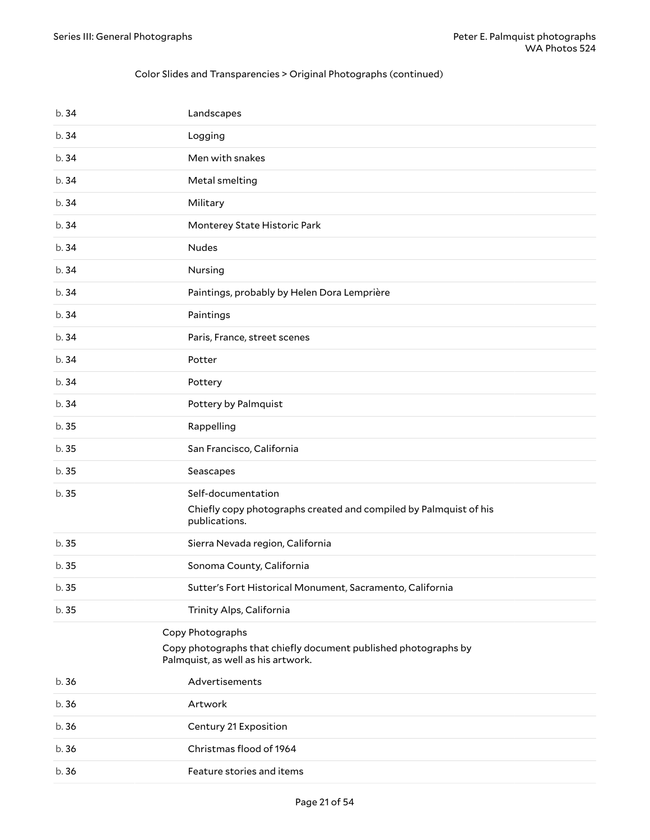### Color Slides and Transparencies > Original Photographs (continued)

<span id="page-20-0"></span>

| b.34  | Landscapes                                                                                                                |
|-------|---------------------------------------------------------------------------------------------------------------------------|
| b.34  | Logging                                                                                                                   |
| b.34  | Men with snakes                                                                                                           |
| b.34  | Metal smelting                                                                                                            |
| b.34  | Military                                                                                                                  |
| b.34  | Monterey State Historic Park                                                                                              |
| b.34  | <b>Nudes</b>                                                                                                              |
| b.34  | Nursing                                                                                                                   |
| b.34  | Paintings, probably by Helen Dora Lemprière                                                                               |
| b.34  | Paintings                                                                                                                 |
| b.34  | Paris, France, street scenes                                                                                              |
| b.34  | Potter                                                                                                                    |
| b.34  | Pottery                                                                                                                   |
| b.34  | Pottery by Palmquist                                                                                                      |
| b. 35 | Rappelling                                                                                                                |
| b. 35 | San Francisco, California                                                                                                 |
| b.35  | Seascapes                                                                                                                 |
| b.35  | Self-documentation<br>Chiefly copy photographs created and compiled by Palmquist of his<br>publications.                  |
| b. 35 | Sierra Nevada region, California                                                                                          |
| b. 35 | Sonoma County, California                                                                                                 |
| b.35  | Sutter's Fort Historical Monument, Sacramento, California                                                                 |
| b. 35 | Trinity Alps, California                                                                                                  |
|       | Copy Photographs<br>Copy photographs that chiefly document published photographs by<br>Palmquist, as well as his artwork. |
| b.36  | Advertisements                                                                                                            |
| b. 36 | Artwork                                                                                                                   |
| b.36  | Century 21 Exposition                                                                                                     |
| b.36  | Christmas flood of 1964                                                                                                   |
| b. 36 | Feature stories and items                                                                                                 |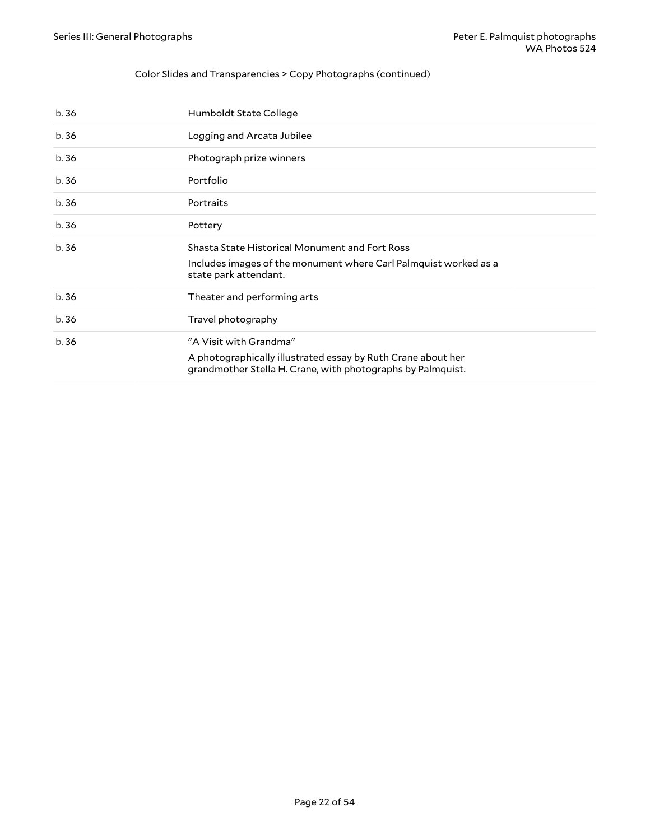### Color Slides and Transparencies > Copy Photographs (continued)

| b.36 | Humboldt State College                                                                                                                                |
|------|-------------------------------------------------------------------------------------------------------------------------------------------------------|
| b.36 | Logging and Arcata Jubilee                                                                                                                            |
| b.36 | Photograph prize winners                                                                                                                              |
| b.36 | Portfolio                                                                                                                                             |
| b.36 | Portraits                                                                                                                                             |
| b.36 | Pottery                                                                                                                                               |
| b.36 | Shasta State Historical Monument and Fort Ross<br>Includes images of the monument where Carl Palmquist worked as a<br>state park attendant.           |
| b.36 | Theater and performing arts                                                                                                                           |
| b.36 | Travel photography                                                                                                                                    |
| b.36 | "A Visit with Grandma"<br>A photographically illustrated essay by Ruth Crane about her<br>grandmother Stella H. Crane, with photographs by Palmquist. |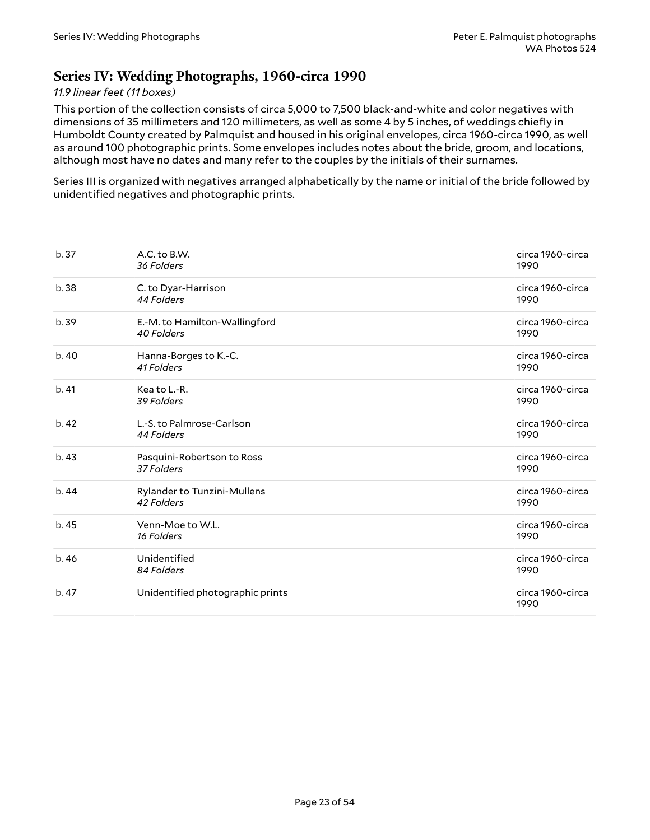## <span id="page-22-0"></span>**Series IV: Wedding Photographs, 1960-circa 1990**

### *11.9 linear feet (11 boxes)*

This portion of the collection consists of circa 5,000 to 7,500 black-and-white and color negatives with dimensions of 35 millimeters and 120 millimeters, as well as some 4 by 5 inches, of weddings chiefly in Humboldt County created by Palmquist and housed in his original envelopes, circa 1960-circa 1990, as well as around 100 photographic prints. Some envelopes includes notes about the bride, groom, and locations, although most have no dates and many refer to the couples by the initials of their surnames.

Series III is organized with negatives arranged alphabetically by the name or initial of the bride followed by unidentified negatives and photographic prints.

| b.37  | A.C. to B.W.<br>36 Folders                  | circa 1960-circa<br>1990 |
|-------|---------------------------------------------|--------------------------|
| b.38  | C. to Dyar-Harrison<br>44 Folders           | circa 1960-circa<br>1990 |
| b. 39 | E.-M. to Hamilton-Wallingford<br>40 Folders | circa 1960-circa<br>1990 |
| b.40  | Hanna-Borges to K.-C.<br>41 Folders         | circa 1960-circa<br>1990 |
| b.41  | Kea to L-R.<br>39 Folders                   | circa 1960-circa<br>1990 |
| b.42  | L.-S. to Palmrose-Carlson<br>44 Folders     | circa 1960-circa<br>1990 |
| b. 43 | Pasquini-Robertson to Ross<br>37 Folders    | circa 1960-circa<br>1990 |
| b.44  | Rylander to Tunzini-Mullens<br>42 Folders   | circa 1960-circa<br>1990 |
| b.45  | Venn-Moe to W.L.<br>16 Folders              | circa 1960-circa<br>1990 |
| b.46  | Unidentified<br>84 Folders                  | circa 1960-circa<br>1990 |
| b.47  | Unidentified photographic prints            | circa 1960-circa<br>1990 |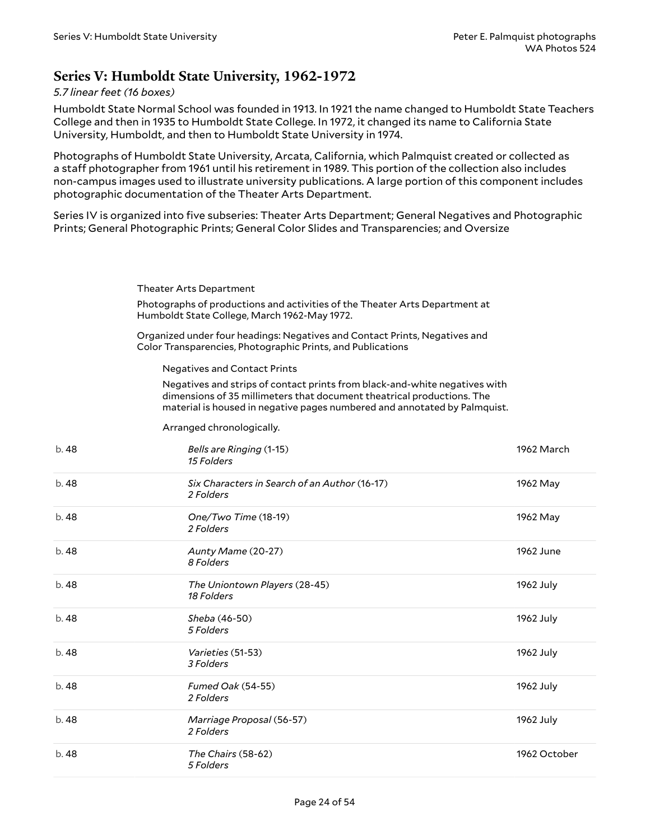## <span id="page-23-0"></span>**Series V: Humboldt State University, 1962-1972**

#### *5.7 linear feet (16 boxes)*

Humboldt State Normal School was founded in 1913. In 1921 the name changed to Humboldt State Teachers College and then in 1935 to Humboldt State College. In 1972, it changed its name to California State University, Humboldt, and then to Humboldt State University in 1974.

Photographs of Humboldt State University, Arcata, California, which Palmquist created or collected as a staff photographer from 1961 until his retirement in 1989. This portion of the collection also includes non-campus images used to illustrate university publications. A large portion of this component includes photographic documentation of the Theater Arts Department.

Series IV is organized into five subseries: Theater Arts Department; General Negatives and Photographic Prints; General Photographic Prints; General Color Slides and Transparencies; and Oversize

<span id="page-23-1"></span>Theater Arts Department

Photographs of productions and activities of the Theater Arts Department at Humboldt State College, March 1962-May 1972.

Organized under four headings: Negatives and Contact Prints, Negatives and Color Transparencies, Photographic Prints, and Publications

<span id="page-23-2"></span>Negatives and Contact Prints

Negatives and strips of contact prints from black-and-white negatives with dimensions of 35 millimeters that document theatrical productions. The material is housed in negative pages numbered and annotated by Palmquist.

Arranged chronologically.

| b.48  | Bells are Ringing (1-15)<br>15 Folders                     | 1962 March   |
|-------|------------------------------------------------------------|--------------|
| b. 48 | Six Characters in Search of an Author (16-17)<br>2 Folders | 1962 May     |
| b. 48 | One/Two Time (18-19)<br>2 Folders                          | 1962 May     |
| b.48  | Aunty Mame (20-27)<br>8 Folders                            | 1962 June    |
| b. 48 | The Uniontown Players (28-45)<br>18 Folders                | 1962 July    |
| b.48  | Sheba (46-50)<br>5 Folders                                 | 1962 July    |
| b.48  | <i>Varieties</i> (51-53)<br>3 Folders                      | 1962 July    |
| b.48  | Fumed Oak (54-55)<br>2 Folders                             | 1962 July    |
| b.48  | Marriage Proposal (56-57)<br>2 Folders                     | 1962 July    |
| b.48  | The Chairs (58-62)<br>5 Folders                            | 1962 October |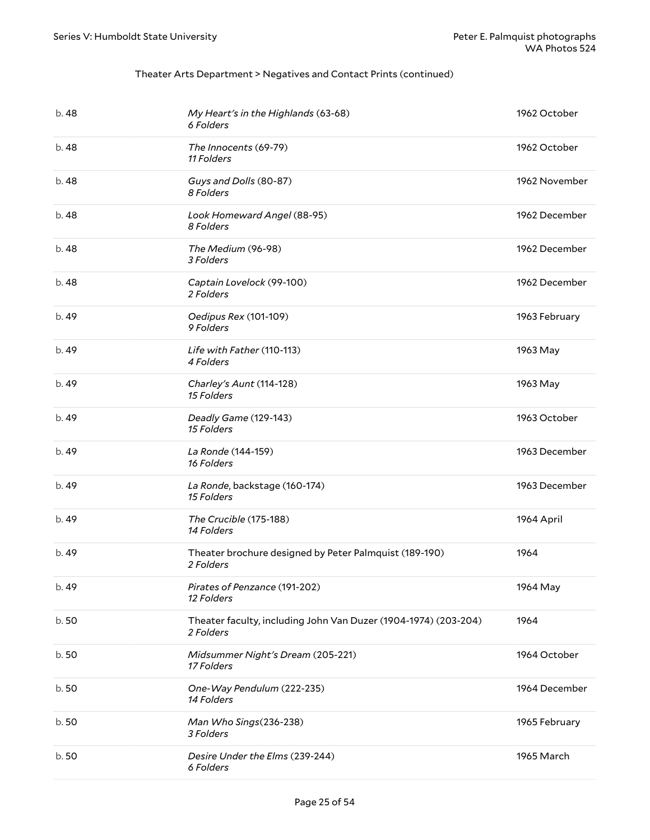| b. 48 | My Heart's in the Highlands (63-68)<br>6 Folders                             | 1962 October  |
|-------|------------------------------------------------------------------------------|---------------|
| b. 48 | The Innocents (69-79)<br>11 Folders                                          | 1962 October  |
| b. 48 | Guys and Dolls (80-87)<br>8 Folders                                          | 1962 November |
| b. 48 | Look Homeward Angel (88-95)<br>8 Folders                                     | 1962 December |
| b. 48 | The Medium (96-98)<br>3 Folders                                              | 1962 December |
| b. 48 | Captain Lovelock (99-100)<br>2 Folders                                       | 1962 December |
| b. 49 | Oedipus Rex (101-109)<br>9 Folders                                           | 1963 February |
| b. 49 | Life with Father (110-113)<br>4 Folders                                      | 1963 May      |
| b.49  | Charley's Aunt (114-128)<br>15 Folders                                       | 1963 May      |
| b. 49 | Deadly Game (129-143)<br>15 Folders                                          | 1963 October  |
| b. 49 | La Ronde (144-159)<br>16 Folders                                             | 1963 December |
| b.49  | La Ronde, backstage (160-174)<br>15 Folders                                  | 1963 December |
| b.49  | The Crucible (175-188)<br>14 Folders                                         | 1964 April    |
| b.49  | Theater brochure designed by Peter Palmquist (189-190)<br>2 Folders          | 1964          |
| b. 49 | Pirates of Penzance (191-202)<br>12 Folders                                  | 1964 May      |
| b.50  | Theater faculty, including John Van Duzer (1904-1974) (203-204)<br>2 Folders | 1964          |
| b.50  | Midsummer Night's Dream (205-221)<br>17 Folders                              | 1964 October  |
| b.50  | One-Way Pendulum (222-235)<br>14 Folders                                     | 1964 December |
| b.50  | Man Who Sings(236-238)<br>3 Folders                                          | 1965 February |
| b.50  | Desire Under the Elms (239-244)<br>6 Folders                                 | 1965 March    |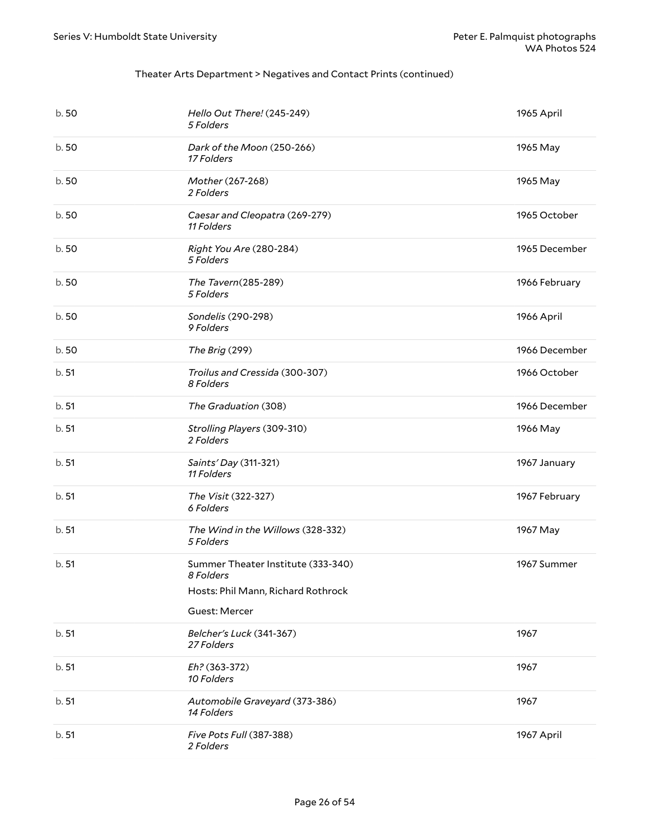| b.50  | Hello Out There! (245-249)<br>5 Folders                                                                | 1965 April    |
|-------|--------------------------------------------------------------------------------------------------------|---------------|
| b.50  | Dark of the Moon (250-266)<br>17 Folders                                                               | 1965 May      |
| b.50  | Mother (267-268)<br>2 Folders                                                                          | 1965 May      |
| b.50  | Caesar and Cleopatra (269-279)<br>11 Folders                                                           | 1965 October  |
| b.50  | Right You Are (280-284)<br>5 Folders                                                                   | 1965 December |
| b.50  | The Tavern(285-289)<br>5 Folders                                                                       | 1966 February |
| b.50  | Sondelis (290-298)<br>9 Folders                                                                        | 1966 April    |
| b.50  | The Brig (299)                                                                                         | 1966 December |
| b.51  | Troilus and Cressida (300-307)<br>8 Folders                                                            | 1966 October  |
| b.51  | The Graduation (308)                                                                                   | 1966 December |
| b.51  | Strolling Players (309-310)<br>2 Folders                                                               | 1966 May      |
| b.51  | Saints' Day (311-321)<br>11 Folders                                                                    | 1967 January  |
| b.51  | The Visit (322-327)<br>6 Folders                                                                       | 1967 February |
| b.51  | The Wind in the Willows (328-332)<br>5 Folders                                                         | 1967 May      |
| b.51  | Summer Theater Institute (333-340)<br>8 Folders<br>Hosts: Phil Mann, Richard Rothrock<br>Guest: Mercer | 1967 Summer   |
| b.51  | Belcher's Luck (341-367)<br>27 Folders                                                                 | 1967          |
| b. 51 | Eh? (363-372)<br>10 Folders                                                                            | 1967          |
| b. 51 | Automobile Graveyard (373-386)<br>14 Folders                                                           | 1967          |
| b.51  | Five Pots Full (387-388)<br>2 Folders                                                                  | 1967 April    |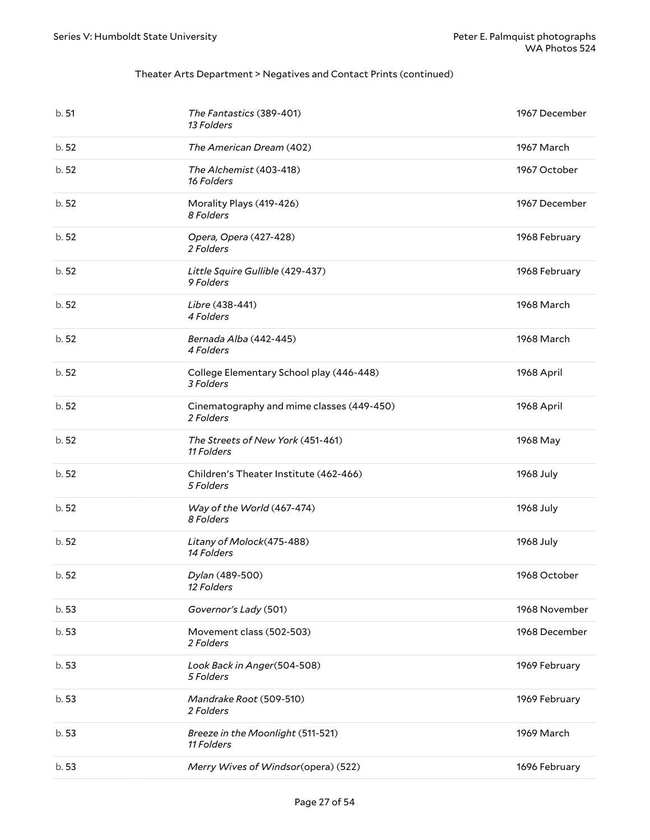| b.51  | The Fantastics (389-401)<br>13 Folders                 | 1967 December |
|-------|--------------------------------------------------------|---------------|
| b.52  | The American Dream (402)                               | 1967 March    |
| b.52  | The Alchemist (403-418)<br>16 Folders                  | 1967 October  |
| b.52  | Morality Plays (419-426)<br>8 Folders                  | 1967 December |
| b.52  | Opera, Opera (427-428)<br>2 Folders                    | 1968 February |
| b.52  | Little Squire Gullible (429-437)<br>9 Folders          | 1968 February |
| b.52  | Libre (438-441)<br>4 Folders                           | 1968 March    |
| b.52  | Bernada Alba (442-445)<br>4 Folders                    | 1968 March    |
| b.52  | College Elementary School play (446-448)<br>3 Folders  | 1968 April    |
| b.52  | Cinematography and mime classes (449-450)<br>2 Folders | 1968 April    |
| b.52  | The Streets of New York (451-461)<br>11 Folders        | 1968 May      |
| b.52  | Children's Theater Institute (462-466)<br>5 Folders    | 1968 July     |
| b.52  | Way of the World (467-474)<br>8 Folders                | 1968 July     |
| b.52  | Litany of Molock(475-488)<br>14 Folders                | 1968 July     |
| b. 52 | Dylan (489-500)<br>12 Folders                          | 1968 October  |
| b.53  | Governor's Lady (501)                                  | 1968 November |
| b.53  | Movement class (502-503)<br>2 Folders                  | 1968 December |
| b.53  | Look Back in Anger(504-508)<br>5 Folders               | 1969 February |
| b.53  | Mandrake Root (509-510)<br>2 Folders                   | 1969 February |
| b.53  | Breeze in the Moonlight (511-521)<br>11 Folders        | 1969 March    |
| b.53  | Merry Wives of Windsor(opera) (522)                    | 1696 February |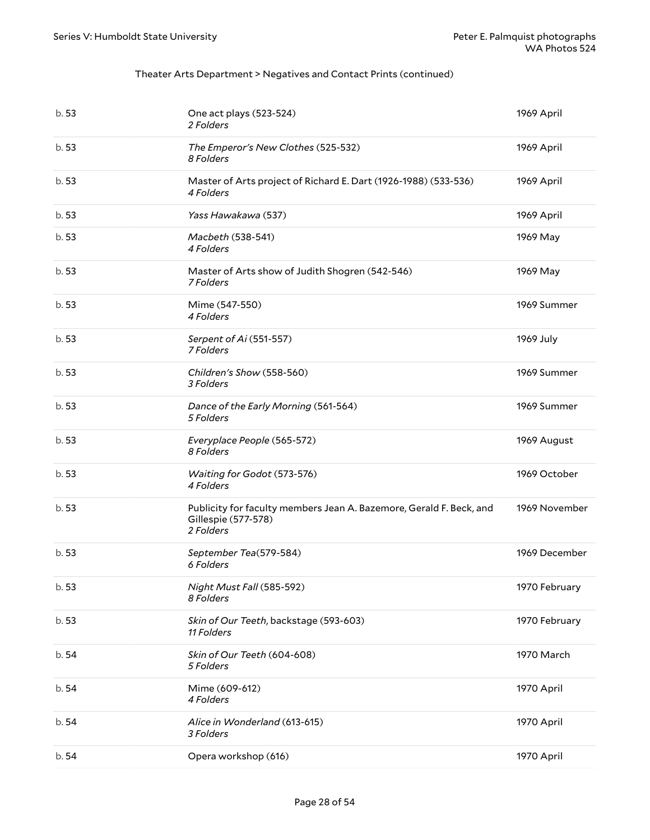| b.53  | One act plays (523-524)<br>2 Folders                                                                    | 1969 April    |
|-------|---------------------------------------------------------------------------------------------------------|---------------|
| b.53  | The Emperor's New Clothes (525-532)<br>8 Folders                                                        | 1969 April    |
| b.53  | Master of Arts project of Richard E. Dart (1926-1988) (533-536)<br>4 Folders                            | 1969 April    |
| b.53  | Yass Hawakawa (537)                                                                                     | 1969 April    |
| b.53  | Macbeth (538-541)<br>4 Folders                                                                          | 1969 May      |
| b.53  | Master of Arts show of Judith Shogren (542-546)<br>7 Folders                                            | 1969 May      |
| b.53  | Mime (547-550)<br>4 Folders                                                                             | 1969 Summer   |
| b.53  | Serpent of Ai (551-557)<br>7 Folders                                                                    | 1969 July     |
| b.53  | Children's Show (558-560)<br>3 Folders                                                                  | 1969 Summer   |
| b.53  | Dance of the Early Morning (561-564)<br>5 Folders                                                       | 1969 Summer   |
| b.53  | Everyplace People (565-572)<br>8 Folders                                                                | 1969 August   |
| b.53  | Waiting for Godot (573-576)<br>4 Folders                                                                | 1969 October  |
| b.53  | Publicity for faculty members Jean A. Bazemore, Gerald F. Beck, and<br>Gillespie (577-578)<br>2 Folders | 1969 November |
| b.53  | September Tea(579-584)<br>6 Folders                                                                     | 1969 December |
| b.53  | Night Must Fall (585-592)<br>8 Folders                                                                  | 1970 February |
| b.53  | Skin of Our Teeth, backstage (593-603)<br>11 Folders                                                    | 1970 February |
| b.54  | Skin of Our Teeth (604-608)<br>5 Folders                                                                | 1970 March    |
| b. 54 | Mime (609-612)<br>4 Folders                                                                             | 1970 April    |
| b.54  | Alice in Wonderland (613-615)<br>3 Folders                                                              | 1970 April    |
| b.54  | Opera workshop (616)                                                                                    | 1970 April    |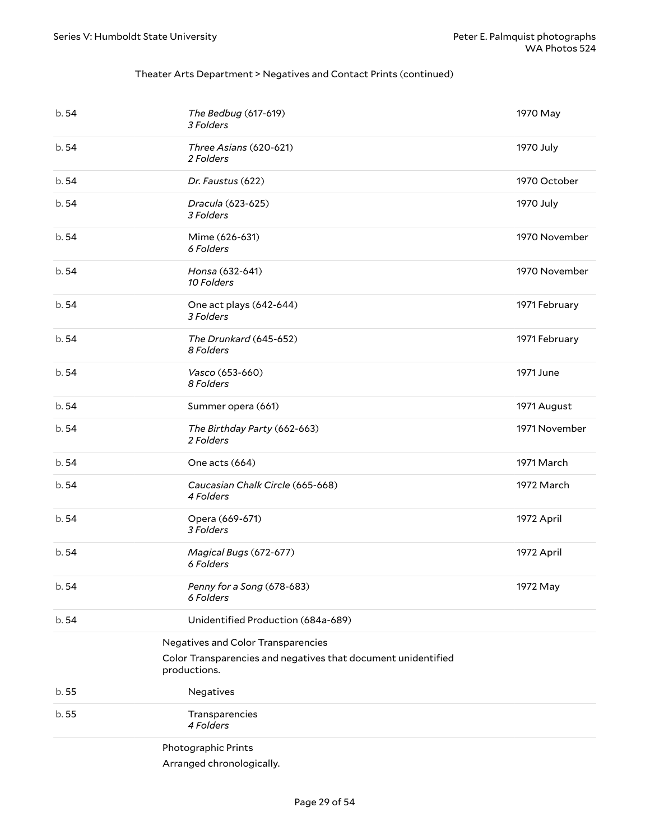<span id="page-28-1"></span><span id="page-28-0"></span>

| b.54  | The Bedbug (617-619)<br>3 Folders                                             | 1970 May      |
|-------|-------------------------------------------------------------------------------|---------------|
| b.54  | Three Asians (620-621)<br>2 Folders                                           | 1970 July     |
| b.54  | Dr. Faustus (622)                                                             | 1970 October  |
| b.54  | Dracula (623-625)<br>3 Folders                                                | 1970 July     |
| b.54  | Mime (626-631)<br>6 Folders                                                   | 1970 November |
| b.54  | Honsa (632-641)<br>10 Folders                                                 | 1970 November |
| b.54  | One act plays (642-644)<br>3 Folders                                          | 1971 February |
| b.54  | The Drunkard (645-652)<br>8 Folders                                           | 1971 February |
| b.54  | Vasco (653-660)<br>8 Folders                                                  | 1971 June     |
| b.54  | Summer opera (661)                                                            | 1971 August   |
| b.54  | The Birthday Party (662-663)<br>2 Folders                                     | 1971 November |
| b.54  | One acts (664)                                                                | 1971 March    |
| b.54  | Caucasian Chalk Circle (665-668)<br>4 Folders                                 | 1972 March    |
| b.54  | Opera (669-671)<br>3 Folders                                                  | 1972 April    |
| b.54  | Magical Bugs (672-677)<br>6 Folders                                           | 1972 April    |
| b. 54 | Penny for a Song (678-683)<br>6 Folders                                       | 1972 May      |
| b.54  | Unidentified Production (684a-689)                                            |               |
|       | Negatives and Color Transparencies                                            |               |
|       | Color Transparencies and negatives that document unidentified<br>productions. |               |
| b.55  | Negatives                                                                     |               |
| b.55  | Transparencies<br>4 Folders                                                   |               |
|       | Photographic Prints                                                           |               |
|       | Arranged chronologically.                                                     |               |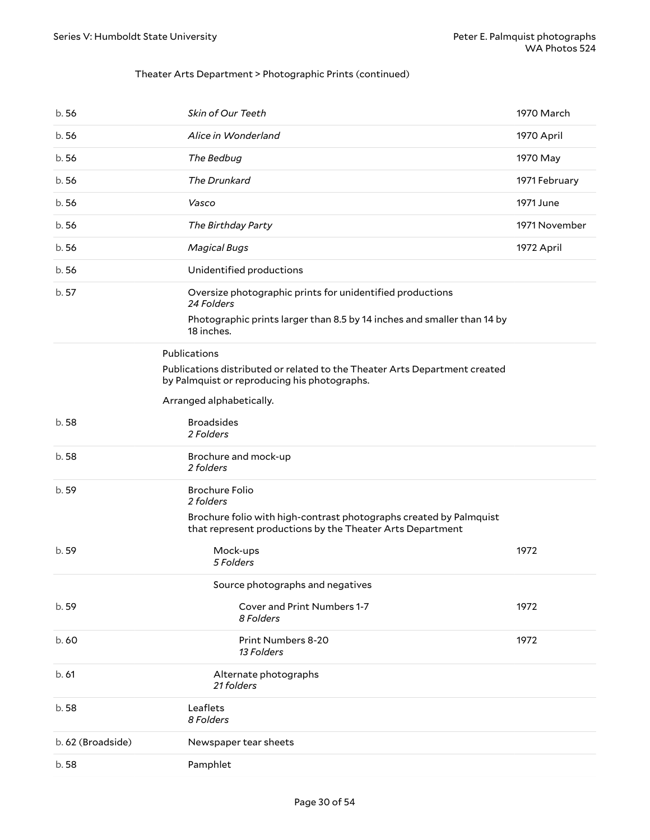### Theater Arts Department > Photographic Prints (continued)

<span id="page-29-0"></span>

| b.56              | Skin of Our Teeth                                                                                                                                  | 1970 March    |
|-------------------|----------------------------------------------------------------------------------------------------------------------------------------------------|---------------|
| b.56              | Alice in Wonderland                                                                                                                                | 1970 April    |
| b.56              | The Bedbug                                                                                                                                         | 1970 May      |
| b.56              | The Drunkard                                                                                                                                       | 1971 February |
| b.56              | Vasco                                                                                                                                              | 1971 June     |
| b.56              | The Birthday Party                                                                                                                                 | 1971 November |
| b.56              | <b>Magical Bugs</b>                                                                                                                                | 1972 April    |
| b.56              | Unidentified productions                                                                                                                           |               |
| b.57              | Oversize photographic prints for unidentified productions<br>24 Folders<br>Photographic prints larger than 8.5 by 14 inches and smaller than 14 by |               |
|                   | 18 inches.                                                                                                                                         |               |
|                   | Publications<br>Publications distributed or related to the Theater Arts Department created<br>by Palmquist or reproducing his photographs.         |               |
|                   | Arranged alphabetically.                                                                                                                           |               |
| b.58              | <b>Broadsides</b><br>2 Folders                                                                                                                     |               |
| b.58              | Brochure and mock-up<br>2 folders                                                                                                                  |               |
| b. 59             | <b>Brochure Folio</b><br>2 folders                                                                                                                 |               |
|                   | Brochure folio with high-contrast photographs created by Palmquist<br>that represent productions by the Theater Arts Department                    |               |
| b. 59             | Mock-ups<br>5 Folders                                                                                                                              | 1972          |
|                   | Source photographs and negatives                                                                                                                   |               |
| b. 59             | <b>Cover and Print Numbers 1-7</b><br>8 Folders                                                                                                    | 1972          |
| b.60              | <b>Print Numbers 8-20</b><br>13 Folders                                                                                                            | 1972          |
| b.61              | Alternate photographs<br>21 folders                                                                                                                |               |
| b.58              | Leaflets<br>8 Folders                                                                                                                              |               |
| b. 62 (Broadside) | Newspaper tear sheets                                                                                                                              |               |
| b.58              | Pamphlet                                                                                                                                           |               |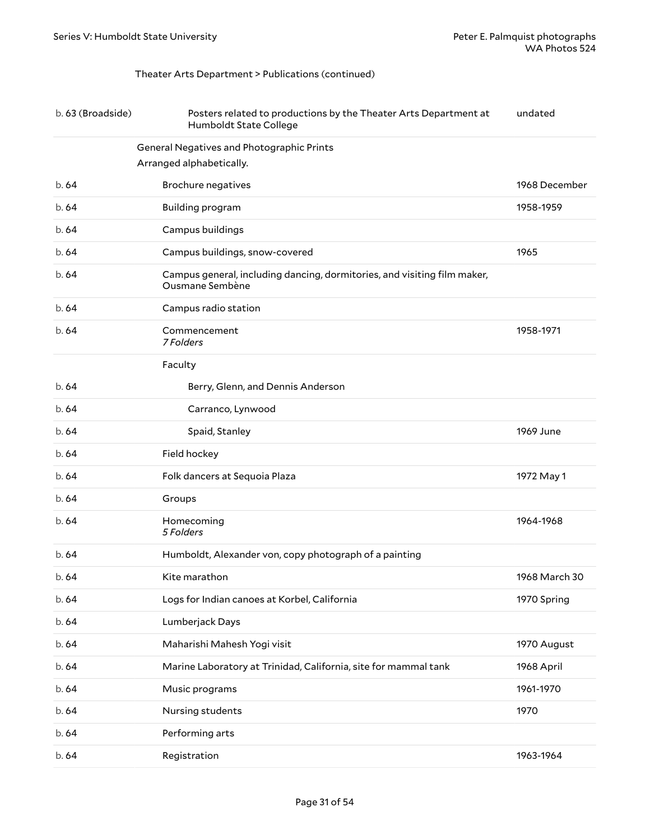## <span id="page-30-0"></span>Theater Arts Department > Publications (continued)

| b. 63 (Broadside) | Posters related to productions by the Theater Arts Department at<br>Humboldt State College  | undated       |
|-------------------|---------------------------------------------------------------------------------------------|---------------|
|                   | General Negatives and Photographic Prints<br>Arranged alphabetically.                       |               |
| b.64              | <b>Brochure negatives</b>                                                                   | 1968 December |
| b.64              | Building program                                                                            | 1958-1959     |
| b.64              | Campus buildings                                                                            |               |
| b.64              | Campus buildings, snow-covered                                                              | 1965          |
| b.64              | Campus general, including dancing, dormitories, and visiting film maker,<br>Ousmane Sembène |               |
| b.64              | Campus radio station                                                                        |               |
| b.64              | Commencement<br>7 Folders                                                                   | 1958-1971     |
|                   | Faculty                                                                                     |               |
| b.64              | Berry, Glenn, and Dennis Anderson                                                           |               |
| b.64              | Carranco, Lynwood                                                                           |               |
| b.64              | Spaid, Stanley                                                                              | 1969 June     |
| b.64              | Field hockey                                                                                |               |
| b.64              | Folk dancers at Sequoia Plaza                                                               | 1972 May 1    |
| b.64              | Groups                                                                                      |               |
| b.64              | Homecoming<br>5 Folders                                                                     | 1964-1968     |
| b.64              | Humboldt, Alexander von, copy photograph of a painting                                      |               |
| b. 64             | Kite marathon                                                                               | 1968 March 30 |
| b.64              | Logs for Indian canoes at Korbel, California                                                | 1970 Spring   |
| b.64              | Lumberjack Days                                                                             |               |
| b.64              | Maharishi Mahesh Yogi visit                                                                 | 1970 August   |
| b. 64             | Marine Laboratory at Trinidad, California, site for mammal tank                             | 1968 April    |
| b. 64             | Music programs                                                                              | 1961-1970     |
| b. 64             | Nursing students                                                                            | 1970          |
| b. 64             | Performing arts                                                                             |               |
| b. 64             | Registration                                                                                | 1963-1964     |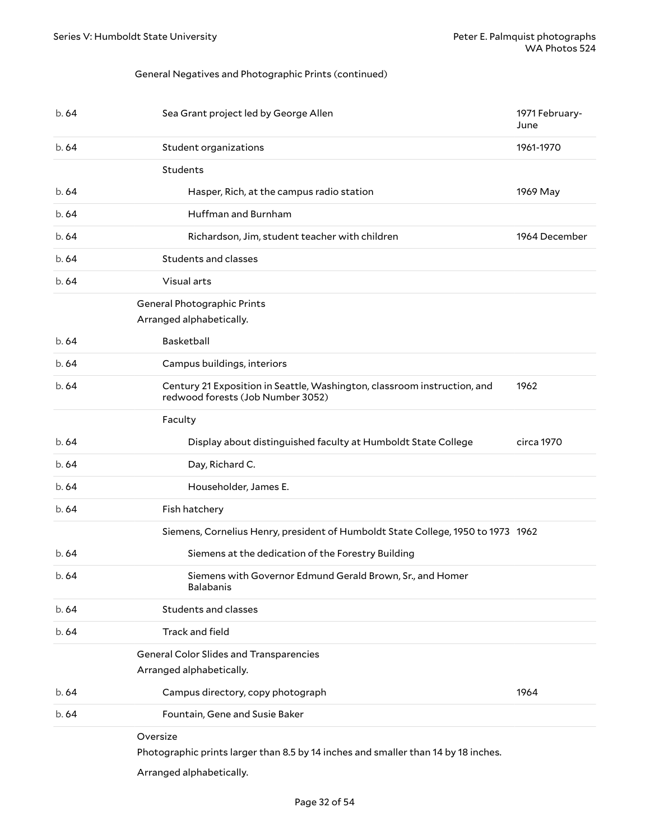#### General Negatives and Photographic Prints (continued)

<span id="page-31-0"></span>

| b. 64 | Sea Grant project led by George Allen                                                                         | 1971 February-<br>June |
|-------|---------------------------------------------------------------------------------------------------------------|------------------------|
| b.64  | Student organizations                                                                                         | 1961-1970              |
|       | Students                                                                                                      |                        |
| b. 64 | Hasper, Rich, at the campus radio station                                                                     | 1969 May               |
| b.64  | Huffman and Burnham                                                                                           |                        |
| b.64  | Richardson, Jim, student teacher with children                                                                | 1964 December          |
| b.64  | Students and classes                                                                                          |                        |
| b. 64 | Visual arts                                                                                                   |                        |
|       | General Photographic Prints<br>Arranged alphabetically.                                                       |                        |
| b. 64 | Basketball                                                                                                    |                        |
| b.64  | Campus buildings, interiors                                                                                   |                        |
| b. 64 | Century 21 Exposition in Seattle, Washington, classroom instruction, and<br>redwood forests (Job Number 3052) | 1962                   |
|       | Faculty                                                                                                       |                        |
| b. 64 | Display about distinguished faculty at Humboldt State College                                                 | circa 1970             |
| b.64  | Day, Richard C.                                                                                               |                        |
| b.64  | Householder, James E.                                                                                         |                        |
| b. 64 | Fish hatchery                                                                                                 |                        |
|       | Siemens, Cornelius Henry, president of Humboldt State College, 1950 to 1973 1962                              |                        |
| b.64  | Siemens at the dedication of the Forestry Building                                                            |                        |
| b.64  | Siemens with Governor Edmund Gerald Brown, Sr., and Homer<br><b>Balabanis</b>                                 |                        |
| b. 64 | Students and classes                                                                                          |                        |
| b. 64 | Track and field                                                                                               |                        |
|       | <b>General Color Slides and Transparencies</b><br>Arranged alphabetically.                                    |                        |
| b. 64 | Campus directory, copy photograph                                                                             | 1964                   |
| b. 64 | Fountain, Gene and Susie Baker                                                                                |                        |
|       | Oversize<br>Photographic prints larger than 8.5 by 14 inches and smaller than 14 by 18 inches.                |                        |

<span id="page-31-2"></span><span id="page-31-1"></span>Arranged alphabetically.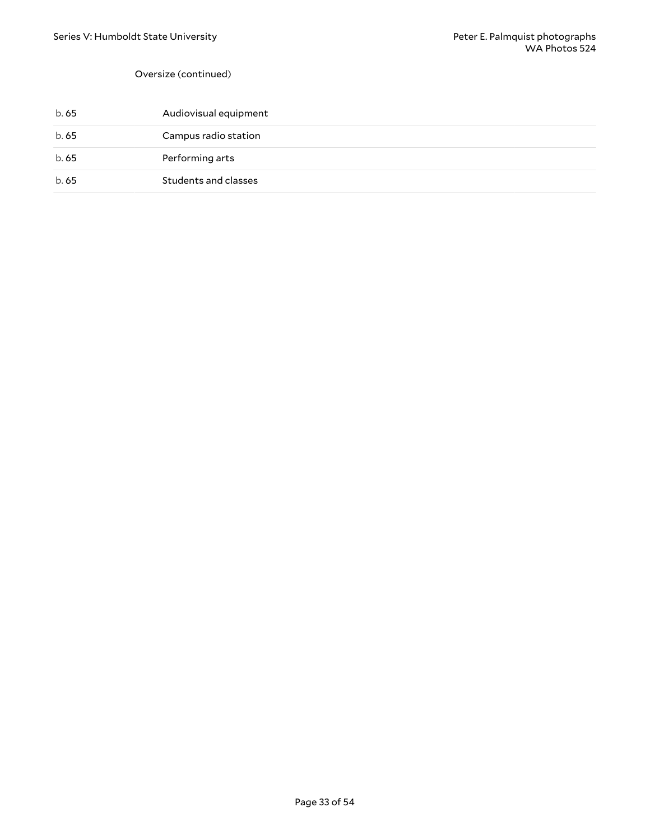#### Oversize (continued)

| b. 65 | Audiovisual equipment |
|-------|-----------------------|
| b. 65 | Campus radio station  |
| b. 65 | Performing arts       |
| b. 65 | Students and classes  |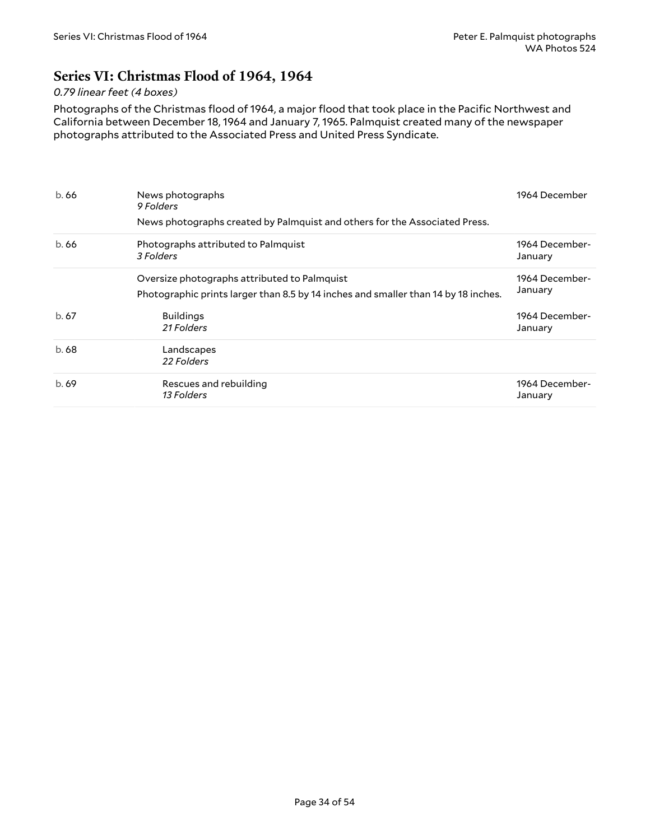## <span id="page-33-0"></span>**Series VI: Christmas Flood of 1964, 1964**

#### *0.79 linear feet (4 boxes)*

Photographs of the Christmas flood of 1964, a major flood that took place in the Pacific Northwest and California between December 18, 1964 and January 7, 1965. Palmquist created many of the newspaper photographs attributed to the Associated Press and United Press Syndicate.

| b.66 | News photographs<br>9 Folders<br>News photographs created by Palmquist and others for the Associated Press.                        | 1964 December             |
|------|------------------------------------------------------------------------------------------------------------------------------------|---------------------------|
| b.66 | Photographs attributed to Palmquist<br>3 Folders                                                                                   | 1964 December-<br>January |
|      | Oversize photographs attributed to Palmquist<br>Photographic prints larger than 8.5 by 14 inches and smaller than 14 by 18 inches. | 1964 December-<br>January |
| b.67 | <b>Buildings</b><br>21 Folders                                                                                                     | 1964 December-<br>January |
| b.68 | Landscapes<br>22 Folders                                                                                                           |                           |
| b.69 | Rescues and rebuilding<br>13 Folders                                                                                               | 1964 December-<br>January |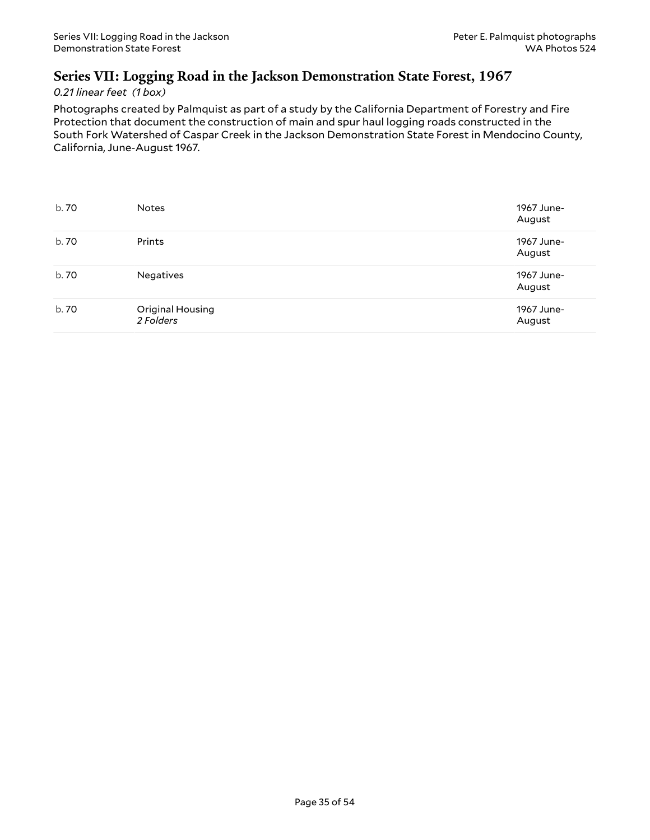## <span id="page-34-0"></span>**Series VII: Logging Road in the Jackson Demonstration State Forest, 1967**

#### *0.21 linear feet (1 box)*

Photographs created by Palmquist as part of a study by the California Department of Forestry and Fire Protection that document the construction of main and spur haul logging roads constructed in the South Fork Watershed of Caspar Creek in the Jackson Demonstration State Forest in Mendocino County, California, June-August 1967.

| b. 70 | <b>Notes</b>                  | 1967 June-<br>August |
|-------|-------------------------------|----------------------|
| b. 70 | Prints                        | 1967 June-<br>August |
| b. 70 | <b>Negatives</b>              | 1967 June-<br>August |
| b. 70 | Original Housing<br>2 Folders | 1967 June-<br>August |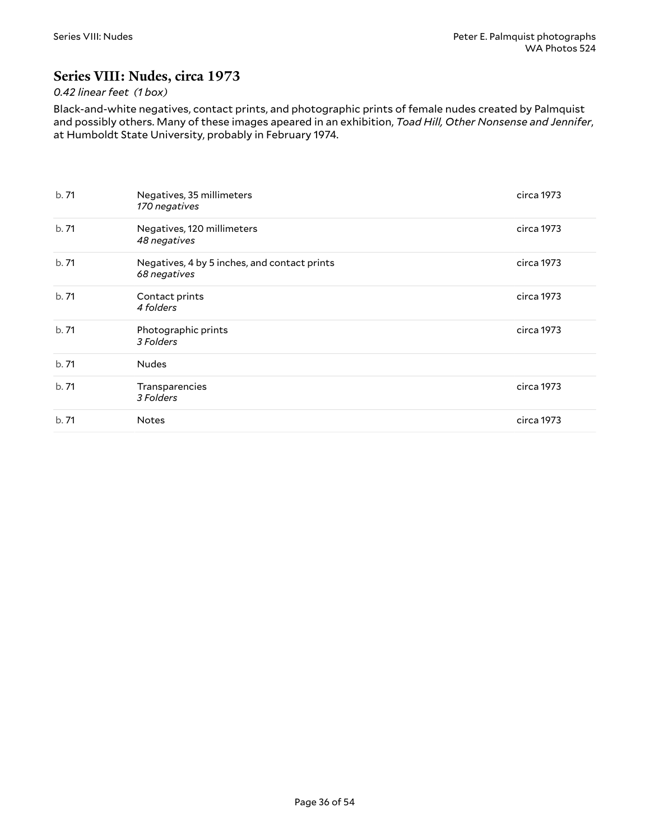## <span id="page-35-0"></span>**Series VIII: Nudes, circa 1973**

## *0.42 linear feet (1 box)*

Black-and-white negatives, contact prints, and photographic prints of female nudes created by Palmquist and possibly others. Many of these images apeared in an exhibition, *Toad Hill, Other Nonsense and Jennifer*, at Humboldt State University, probably in February 1974.

| b.71  | Negatives, 35 millimeters<br>170 negatives                   | circa 1973 |
|-------|--------------------------------------------------------------|------------|
| b.71  | Negatives, 120 millimeters<br>48 negatives                   | circa 1973 |
| b.71  | Negatives, 4 by 5 inches, and contact prints<br>68 negatives | circa 1973 |
| b.71  | Contact prints<br>4 folders                                  | circa 1973 |
| b. 71 | Photographic prints<br>3 Folders                             | circa 1973 |
| b.71  | <b>Nudes</b>                                                 |            |
| b.71  | Transparencies<br>3 Folders                                  | circa 1973 |
| b.71  | <b>Notes</b>                                                 | circa 1973 |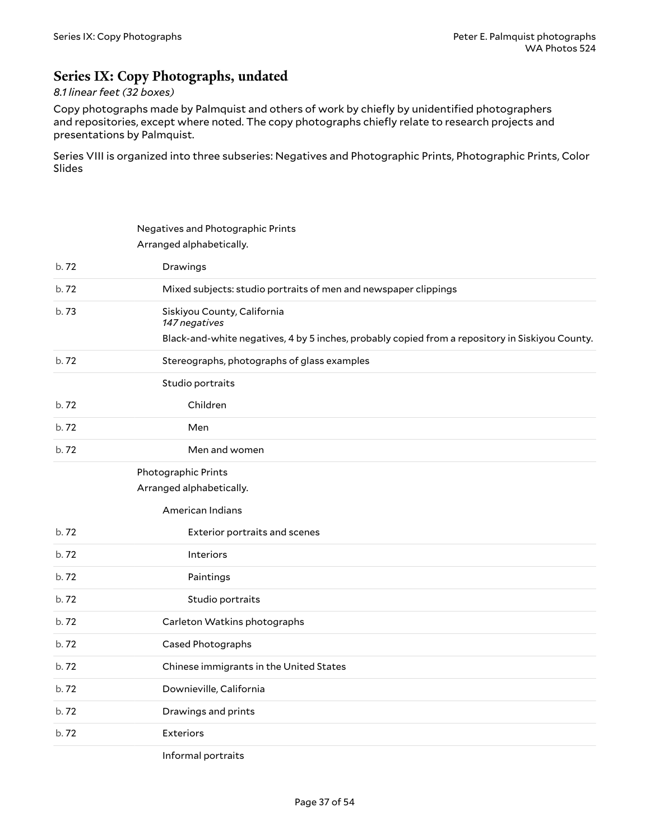## <span id="page-36-0"></span>**Series IX: Copy Photographs, undated**

## *8.1 linear feet (32 boxes)*

Copy photographs made by Palmquist and others of work by chiefly by unidentified photographers and repositories, except where noted. The copy photographs chiefly relate to research projects and presentations by Palmquist.

Series VIII is organized into three subseries: Negatives and Photographic Prints, Photographic Prints, Color Slides

<span id="page-36-2"></span><span id="page-36-1"></span>

|       | Negatives and Photographic Prints                                                               |
|-------|-------------------------------------------------------------------------------------------------|
|       | Arranged alphabetically.                                                                        |
| b.72  | Drawings                                                                                        |
| b.72  | Mixed subjects: studio portraits of men and newspaper clippings                                 |
| b.73  | Siskiyou County, California<br>147 negatives                                                    |
|       | Black-and-white negatives, 4 by 5 inches, probably copied from a repository in Siskiyou County. |
| b.72  | Stereographs, photographs of glass examples                                                     |
|       | Studio portraits                                                                                |
| b.72  | Children                                                                                        |
| b. 72 | Men                                                                                             |
| b. 72 | Men and women                                                                                   |
|       | Photographic Prints                                                                             |
|       | Arranged alphabetically.                                                                        |
|       | American Indians                                                                                |
| b.72  | Exterior portraits and scenes                                                                   |
| b.72  | Interiors                                                                                       |
| b.72  | Paintings                                                                                       |
| b.72  | Studio portraits                                                                                |
| b. 72 | Carleton Watkins photographs                                                                    |
| b.72  | Cased Photographs                                                                               |
| b.72  | Chinese immigrants in the United States                                                         |
| b.72  | Downieville, California                                                                         |
| b.72  | Drawings and prints                                                                             |
| b. 72 | <b>Exteriors</b>                                                                                |
|       |                                                                                                 |

Informal portraits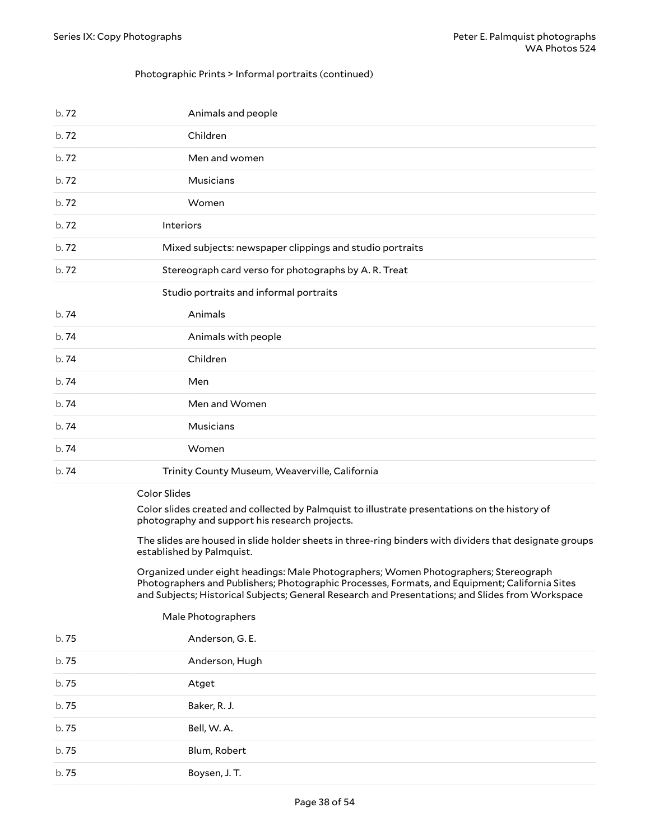#### Photographic Prints > Informal portraits (continued)

| b.72 | Animals and people                                                                                                                              |
|------|-------------------------------------------------------------------------------------------------------------------------------------------------|
| b.72 | Children                                                                                                                                        |
| b.72 | Men and women                                                                                                                                   |
| b.72 | Musicians                                                                                                                                       |
| b.72 | Women                                                                                                                                           |
| b.72 | Interiors                                                                                                                                       |
| b.72 | Mixed subjects: newspaper clippings and studio portraits                                                                                        |
| b.72 | Stereograph card verso for photographs by A.R. Treat                                                                                            |
|      | Studio portraits and informal portraits                                                                                                         |
| b.74 | Animals                                                                                                                                         |
| b.74 | Animals with people                                                                                                                             |
| b.74 | Children                                                                                                                                        |
| b.74 | Men                                                                                                                                             |
| b.74 | Men and Women                                                                                                                                   |
| b.74 | Musicians                                                                                                                                       |
| b.74 | Women                                                                                                                                           |
| b.74 | Trinity County Museum, Weaverville, California                                                                                                  |
|      | <b>Color Slides</b>                                                                                                                             |
|      | Color slides created and collected by Palmquist to illustrate presentations on the history of<br>photography and support his research projects. |

<span id="page-37-0"></span>The slides are housed in slide holder sheets in three-ring binders with dividers that designate groups established by Palmquist.

<span id="page-37-1"></span>Organized under eight headings: Male Photographers; Women Photographers; Stereograph Photographers and Publishers; Photographic Processes, Formats, and Equipment; California Sites and Subjects; Historical Subjects; General Research and Presentations; and Slides from Workspace

| Male Photographers |                 |
|--------------------|-----------------|
| b.75               | Anderson, G. E. |
| b.75               | Anderson, Hugh  |
| b.75               | Atget           |
| b.75               | Baker, R. J.    |
| b.75               | Bell, W.A.      |
| b.75               | Blum, Robert    |
| b.75               | Boysen, J. T.   |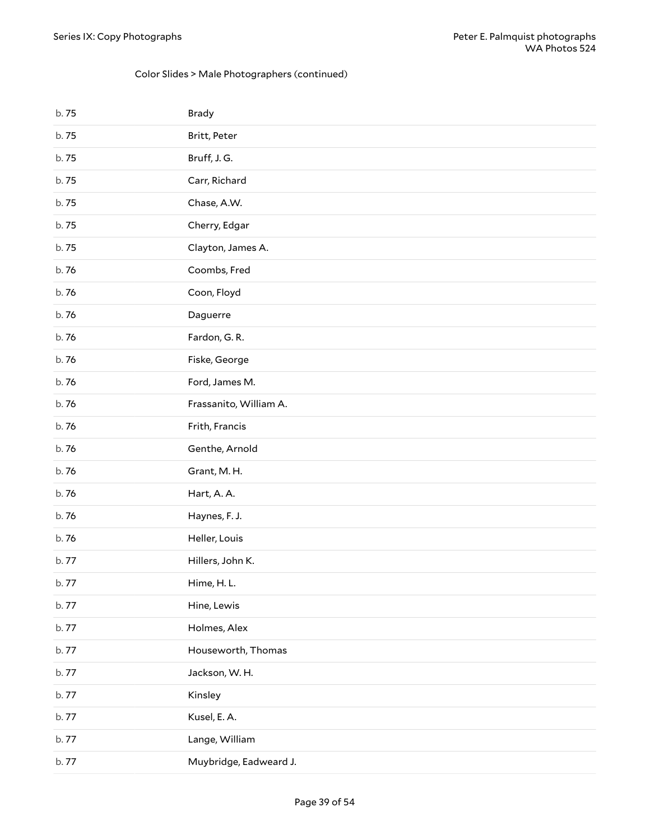### Color Slides > Male Photographers (continued)

| b. 75 | <b>Brady</b>           |
|-------|------------------------|
| b.75  | Britt, Peter           |
| b.75  | Bruff, J.G.            |
| b.75  | Carr, Richard          |
| b.75  | Chase, A.W.            |
| b.75  | Cherry, Edgar          |
| b.75  | Clayton, James A.      |
| b. 76 | Coombs, Fred           |
| b. 76 | Coon, Floyd            |
| b. 76 | Daguerre               |
| b. 76 | Fardon, G.R.           |
| b.76  | Fiske, George          |
| b. 76 | Ford, James M.         |
| b.76  | Frassanito, William A. |
| b. 76 | Frith, Francis         |
| b.76  | Genthe, Arnold         |
| b. 76 | Grant, M.H.            |
| b. 76 | Hart, A.A.             |
| b. 76 | Haynes, F. J.          |
| b.76  | Heller, Louis          |
| b.77  | Hillers, John K.       |
| b. 77 | Hime, H.L.             |
| b.77  | Hine, Lewis            |
| b. 77 | Holmes, Alex           |
| b. 77 | Houseworth, Thomas     |
| b.77  | Jackson, W.H.          |
| b. 77 | Kinsley                |
| b.77  | Kusel, E.A.            |
| b.77  | Lange, William         |
| b. 77 | Muybridge, Eadweard J. |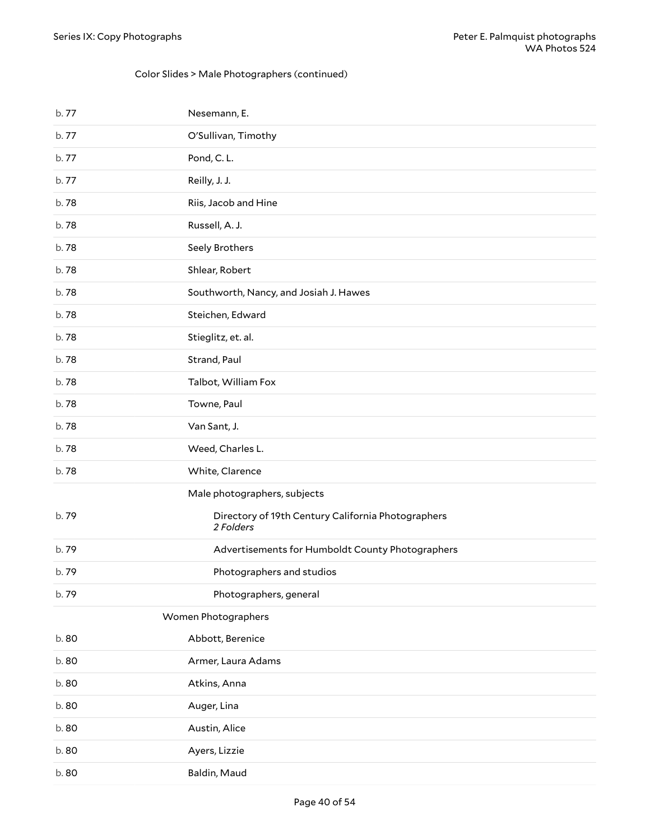## Color Slides > Male Photographers (continued)

<span id="page-39-0"></span>

| b. 77 | Nesemann, E.                                                    |
|-------|-----------------------------------------------------------------|
| b. 77 | O'Sullivan, Timothy                                             |
| b.77  | Pond, C.L.                                                      |
| b.77  | Reilly, J. J.                                                   |
| b.78  | Riis, Jacob and Hine                                            |
| b.78  | Russell, A. J.                                                  |
| b.78  | Seely Brothers                                                  |
| b.78  | Shlear, Robert                                                  |
| b.78  | Southworth, Nancy, and Josiah J. Hawes                          |
| b.78  | Steichen, Edward                                                |
| b.78  | Stieglitz, et. al.                                              |
| b.78  | Strand, Paul                                                    |
| b.78  | Talbot, William Fox                                             |
| b.78  | Towne, Paul                                                     |
| b.78  | Van Sant, J.                                                    |
| b.78  | Weed, Charles L.                                                |
| b.78  | White, Clarence                                                 |
|       | Male photographers, subjects                                    |
| b.79  | Directory of 19th Century California Photographers<br>2 Folders |
| b.79  | Advertisements for Humboldt County Photographers                |
| b.79  | Photographers and studios                                       |
| b.79  | Photographers, general                                          |
|       | Women Photographers                                             |
| b.80  | Abbott, Berenice                                                |
| b.80  | Armer, Laura Adams                                              |
| b.80  | Atkins, Anna                                                    |
| b.80  | Auger, Lina                                                     |
| b.80  | Austin, Alice                                                   |
| b.80  | Ayers, Lizzie                                                   |
| b.80  | Baldin, Maud                                                    |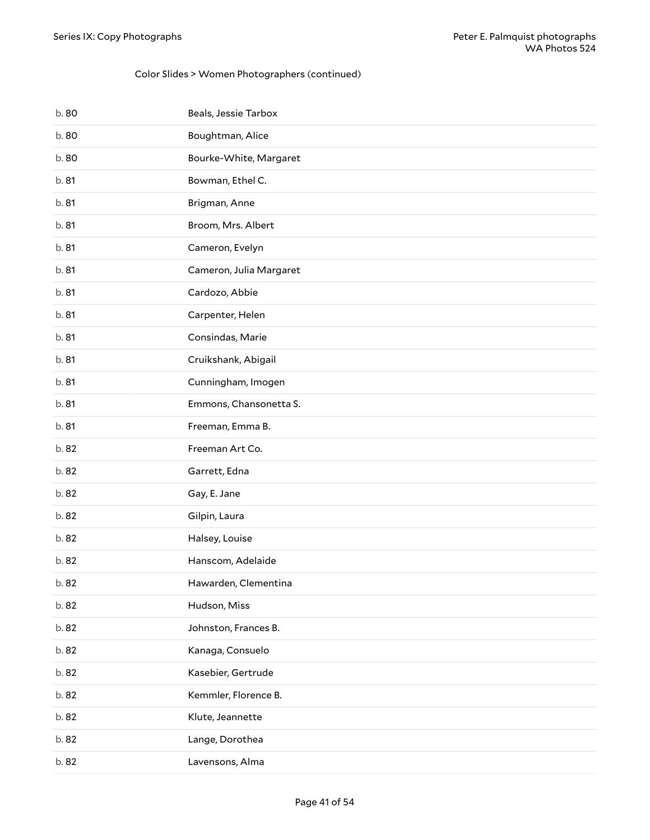### Color Slides > Women Photographers (continued)

| b.80  | Beals, Jessie Tarbox    |
|-------|-------------------------|
| b.80  | Boughtman, Alice        |
| b.80  | Bourke-White, Margaret  |
| b. 81 | Bowman, Ethel C.        |
| b. 81 | Brigman, Anne           |
| b. 81 | Broom, Mrs. Albert      |
| b. 81 | Cameron, Evelyn         |
| b. 81 | Cameron, Julia Margaret |
| b. 81 | Cardozo, Abbie          |
| b. 81 | Carpenter, Helen        |
| b. 81 | Consindas, Marie        |
| b. 81 | Cruikshank, Abigail     |
| b. 81 | Cunningham, Imogen      |
| b. 81 | Emmons, Chansonetta S.  |
| b. 81 | Freeman, Emma B.        |
|       |                         |
| b.82  | Freeman Art Co.         |
| b.82  | Garrett, Edna           |
| b. 82 | Gay, E. Jane            |
| b.82  | Gilpin, Laura           |
| b. 82 | Halsey, Louise          |
| b. 82 | Hanscom, Adelaide       |
| b. 82 | Hawarden, Clementina    |
| b. 82 | Hudson, Miss            |
| b. 82 | Johnston, Frances B.    |
| b. 82 | Kanaga, Consuelo        |
| b. 82 | Kasebier, Gertrude      |
| b. 82 | Kemmler, Florence B.    |
| b. 82 | Klute, Jeannette        |
| b. 82 | Lange, Dorothea         |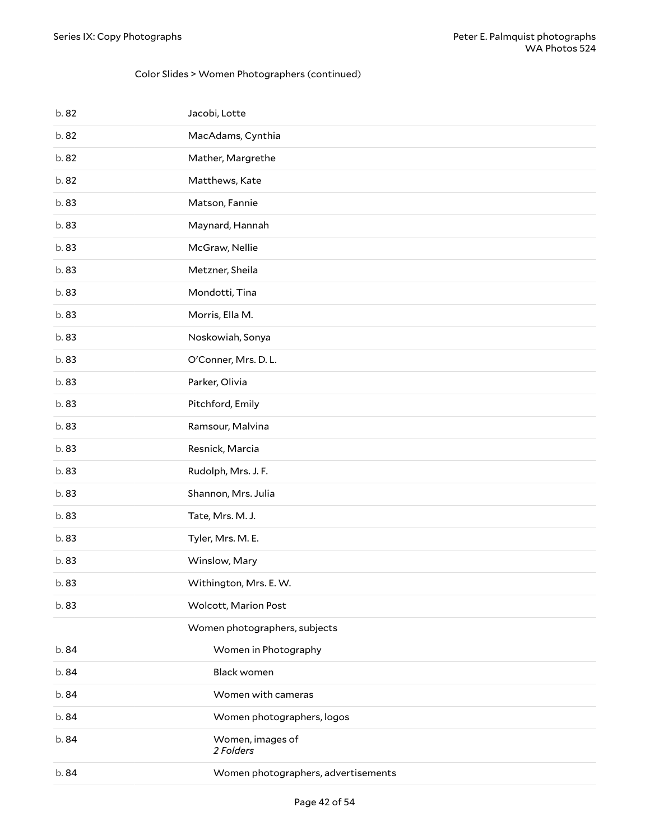### Color Slides > Women Photographers (continued)

| b. 82 | Jacobi, Lotte                       |
|-------|-------------------------------------|
| b. 82 | MacAdams, Cynthia                   |
| b. 82 | Mather, Margrethe                   |
| b.82  | Matthews, Kate                      |
| b.83  | Matson, Fannie                      |
| b.83  | Maynard, Hannah                     |
| b.83  | McGraw, Nellie                      |
| b.83  | Metzner, Sheila                     |
| b.83  | Mondotti, Tina                      |
| b.83  | Morris, Ella M.                     |
| b.83  | Noskowiah, Sonya                    |
| b.83  | O'Conner, Mrs. D. L.                |
| b.83  | Parker, Olivia                      |
| b.83  | Pitchford, Emily                    |
| b.83  | Ramsour, Malvina                    |
| b.83  | Resnick, Marcia                     |
| b.83  | Rudolph, Mrs. J. F.                 |
| b.83  | Shannon, Mrs. Julia                 |
| b.83  | Tate, Mrs. M. J.                    |
| b.83  | Tyler, Mrs. M. E.                   |
| b.83  | Winslow, Mary                       |
| b.83  | Withington, Mrs. E. W.              |
| b.83  | Wolcott, Marion Post                |
|       | Women photographers, subjects       |
| b. 84 | Women in Photography                |
| b.84  | Black women                         |
| b. 84 | Women with cameras                  |
| b.84  | Women photographers, logos          |
| b. 84 | Women, images of<br>2 Folders       |
| b. 84 | Women photographers, advertisements |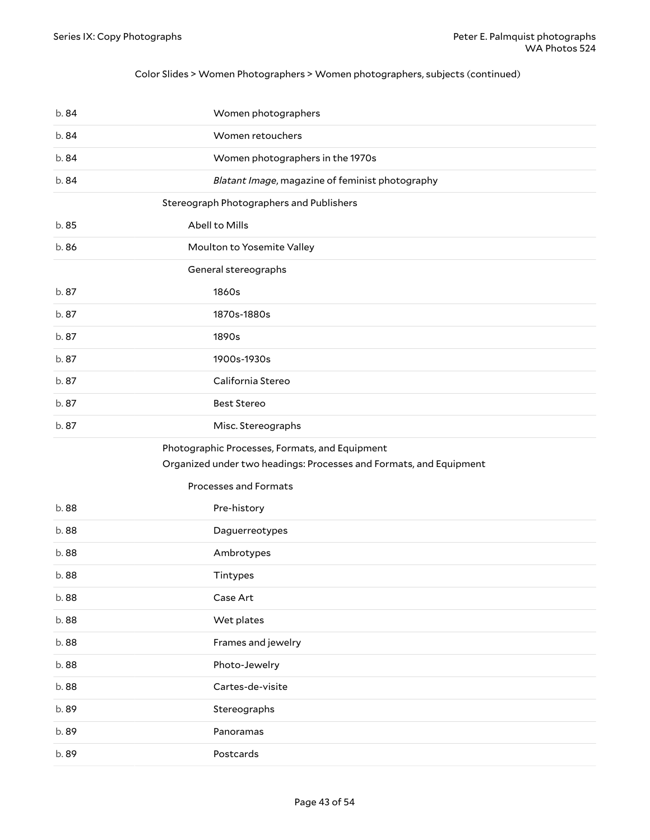### Color Slides > Women Photographers > Women photographers, subjects (continued)

<span id="page-42-2"></span><span id="page-42-1"></span><span id="page-42-0"></span>

| b.84  | Women photographers                                                |
|-------|--------------------------------------------------------------------|
| b.84  | Women retouchers                                                   |
| b.84  | Women photographers in the 1970s                                   |
| b.84  | Blatant Image, magazine of feminist photography                    |
|       | Stereograph Photographers and Publishers                           |
| b.85  | Abell to Mills                                                     |
| b.86  | Moulton to Yosemite Valley                                         |
|       | General stereographs                                               |
| b. 87 | 1860s                                                              |
| b.87  | 1870s-1880s                                                        |
| b.87  | 1890s                                                              |
| b.87  | 1900s-1930s                                                        |
| b.87  | California Stereo                                                  |
| b.87  | <b>Best Stereo</b>                                                 |
| b.87  | Misc. Stereographs                                                 |
|       | Photographic Processes, Formats, and Equipment                     |
|       | Organized under two headings: Processes and Formats, and Equipment |
|       | Processes and Formats                                              |
| b.88  | Pre-history                                                        |
| b.88  |                                                                    |
|       | Daguerreotypes                                                     |
| b.88  | Ambrotypes                                                         |
| b.88  | Tintypes                                                           |
| b.88  | Case Art                                                           |
| b.88  | Wet plates                                                         |
| b.88  | Frames and jewelry                                                 |
| b.88  | Photo-Jewelry                                                      |
| b.88  | Cartes-de-visite                                                   |
| b.89  | Stereographs                                                       |
| b.89  | Panoramas                                                          |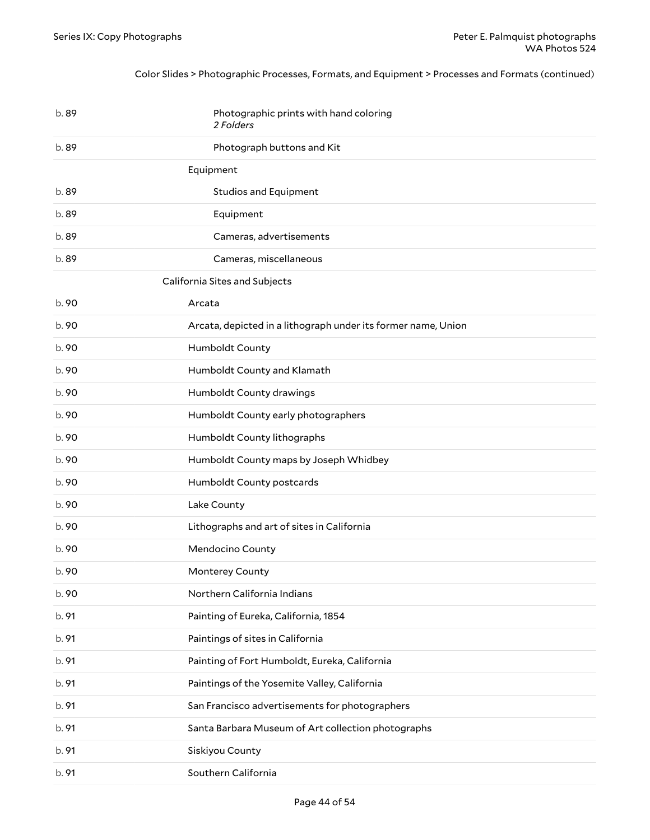### <span id="page-43-0"></span>Color Slides > Photographic Processes, Formats, and Equipment > Processes and Formats (continued)

<span id="page-43-1"></span>

| b.89  | Photographic prints with hand coloring<br>2 Folders           |
|-------|---------------------------------------------------------------|
| b.89  | Photograph buttons and Kit                                    |
|       | Equipment                                                     |
| b.89  | <b>Studios and Equipment</b>                                  |
| b.89  | Equipment                                                     |
| b.89  | Cameras, advertisements                                       |
| b.89  | Cameras, miscellaneous                                        |
|       | California Sites and Subjects                                 |
| b. 90 | Arcata                                                        |
| b. 90 | Arcata, depicted in a lithograph under its former name, Union |
| b. 90 | Humboldt County                                               |
| b. 90 | Humboldt County and Klamath                                   |
| b.90  | Humboldt County drawings                                      |
| b. 90 | Humboldt County early photographers                           |
| b. 90 | Humboldt County lithographs                                   |
| b. 90 | Humboldt County maps by Joseph Whidbey                        |
| b. 90 | Humboldt County postcards                                     |
| b. 90 | Lake County                                                   |
| b. 90 | Lithographs and art of sites in California                    |
| b.90  | Mendocino County                                              |
| b.90  | Monterey County                                               |
| b.90  | Northern California Indians                                   |
| b. 91 | Painting of Eureka, California, 1854                          |
| b. 91 | Paintings of sites in California                              |
| b. 91 | Painting of Fort Humboldt, Eureka, California                 |
| b. 91 | Paintings of the Yosemite Valley, California                  |
| b. 91 | San Francisco advertisements for photographers                |
| b. 91 | Santa Barbara Museum of Art collection photographs            |
| b. 91 | Siskiyou County                                               |
| b. 91 | Southern California                                           |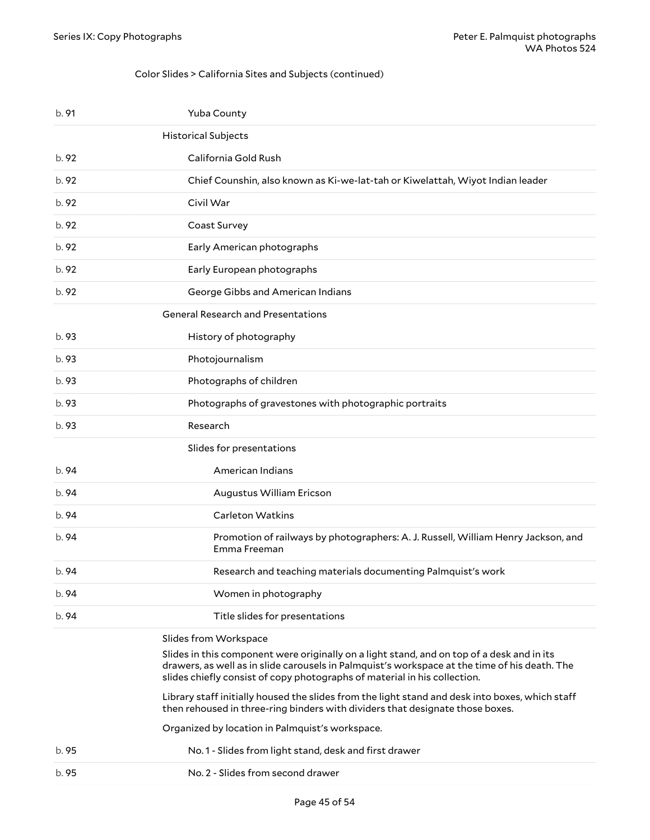### <span id="page-44-0"></span>Color Slides > California Sites and Subjects (continued)

<span id="page-44-2"></span><span id="page-44-1"></span>

| b. 91 | Yuba County                                                                                                                                                                                                                                                                                                                                                                                                                                                                                                                              |
|-------|------------------------------------------------------------------------------------------------------------------------------------------------------------------------------------------------------------------------------------------------------------------------------------------------------------------------------------------------------------------------------------------------------------------------------------------------------------------------------------------------------------------------------------------|
|       | <b>Historical Subjects</b>                                                                                                                                                                                                                                                                                                                                                                                                                                                                                                               |
| b. 92 | California Gold Rush                                                                                                                                                                                                                                                                                                                                                                                                                                                                                                                     |
| b. 92 | Chief Counshin, also known as Ki-we-lat-tah or Kiwelattah, Wiyot Indian leader                                                                                                                                                                                                                                                                                                                                                                                                                                                           |
| b. 92 | Civil War                                                                                                                                                                                                                                                                                                                                                                                                                                                                                                                                |
| b. 92 | Coast Survey                                                                                                                                                                                                                                                                                                                                                                                                                                                                                                                             |
| b. 92 | Early American photographs                                                                                                                                                                                                                                                                                                                                                                                                                                                                                                               |
| b.92  | Early European photographs                                                                                                                                                                                                                                                                                                                                                                                                                                                                                                               |
| b.92  | George Gibbs and American Indians                                                                                                                                                                                                                                                                                                                                                                                                                                                                                                        |
|       | <b>General Research and Presentations</b>                                                                                                                                                                                                                                                                                                                                                                                                                                                                                                |
| b. 93 | History of photography                                                                                                                                                                                                                                                                                                                                                                                                                                                                                                                   |
| b. 93 | Photojournalism                                                                                                                                                                                                                                                                                                                                                                                                                                                                                                                          |
| b. 93 | Photographs of children                                                                                                                                                                                                                                                                                                                                                                                                                                                                                                                  |
| b. 93 | Photographs of gravestones with photographic portraits                                                                                                                                                                                                                                                                                                                                                                                                                                                                                   |
| b. 93 | Research                                                                                                                                                                                                                                                                                                                                                                                                                                                                                                                                 |
|       | Slides for presentations                                                                                                                                                                                                                                                                                                                                                                                                                                                                                                                 |
| b. 94 | American Indians                                                                                                                                                                                                                                                                                                                                                                                                                                                                                                                         |
| b. 94 | Augustus William Ericson                                                                                                                                                                                                                                                                                                                                                                                                                                                                                                                 |
| b. 94 | <b>Carleton Watkins</b>                                                                                                                                                                                                                                                                                                                                                                                                                                                                                                                  |
| b. 94 | Promotion of railways by photographers: A. J. Russell, William Henry Jackson, and<br>Emma Freeman                                                                                                                                                                                                                                                                                                                                                                                                                                        |
| b. 94 | Research and teaching materials documenting Palmquist's work                                                                                                                                                                                                                                                                                                                                                                                                                                                                             |
| b. 94 | Women in photography                                                                                                                                                                                                                                                                                                                                                                                                                                                                                                                     |
| b. 94 | Title slides for presentations                                                                                                                                                                                                                                                                                                                                                                                                                                                                                                           |
|       | Slides from Workspace<br>Slides in this component were originally on a light stand, and on top of a desk and in its<br>drawers, as well as in slide carousels in Palmquist's workspace at the time of his death. The<br>slides chiefly consist of copy photographs of material in his collection.<br>Library staff initially housed the slides from the light stand and desk into boxes, which staff<br>then rehoused in three-ring binders with dividers that designate those boxes.<br>Organized by location in Palmquist's workspace. |
| b. 95 | No.1 - Slides from light stand, desk and first drawer                                                                                                                                                                                                                                                                                                                                                                                                                                                                                    |
| b. 95 | No. 2 - Slides from second drawer                                                                                                                                                                                                                                                                                                                                                                                                                                                                                                        |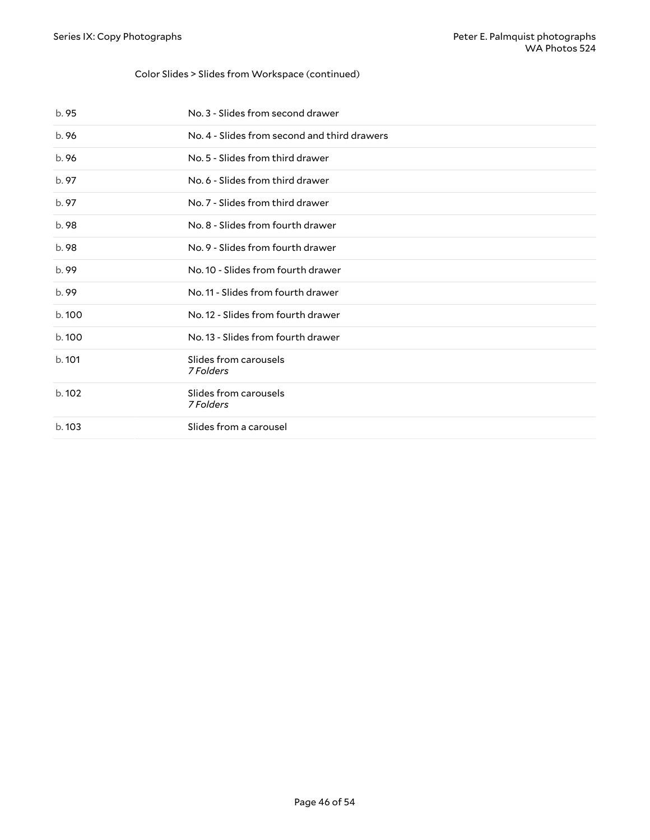### Color Slides > Slides from Workspace (continued)

| b. 95  | No. 3 - Slides from second drawer            |
|--------|----------------------------------------------|
| b.96   | No. 4 - Slides from second and third drawers |
| b.96   | No. 5 - Slides from third drawer             |
| b. 97  | No. 6 - Slides from third drawer             |
| b. 97  | No. 7 - Slides from third drawer             |
| b. 98  | No. 8 - Slides from fourth drawer            |
| b.98   | No. 9 - Slides from fourth drawer            |
| b.99   | No. 10 - Slides from fourth drawer           |
| b.99   | No. 11 - Slides from fourth drawer           |
| b. 100 | No. 12 - Slides from fourth drawer           |
| b.100  | No. 13 - Slides from fourth drawer           |
| b.101  | Slides from carousels<br>7 Folders           |
| b.102  | Slides from carousels<br>7 Folders           |
| b. 103 | Slides from a carousel                       |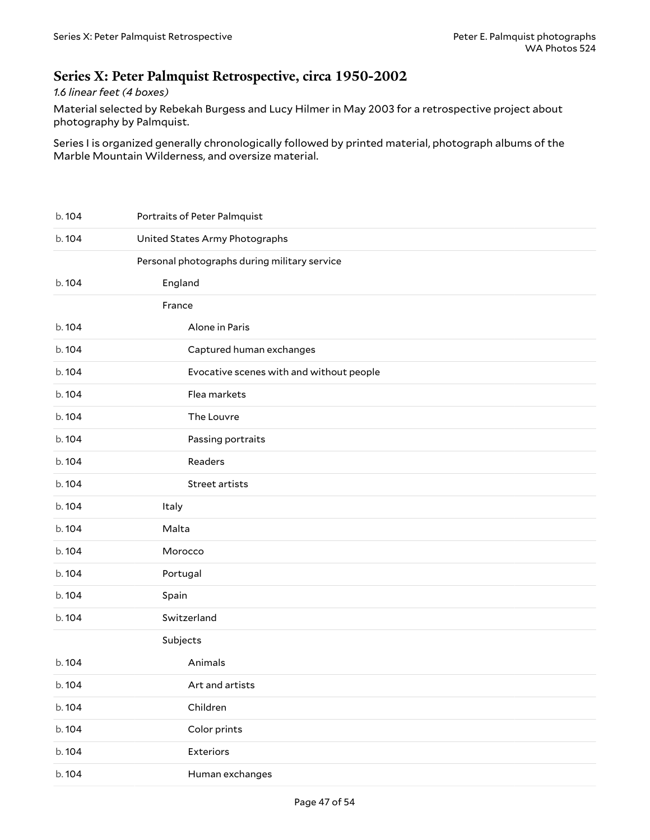## <span id="page-46-0"></span>**Series X: Peter Palmquist Retrospective, circa 1950-2002**

## *1.6 linear feet (4 boxes)*

Material selected by Rebekah Burgess and Lucy Hilmer in May 2003 for a retrospective project about photography by Palmquist.

Series I is organized generally chronologically followed by printed material, photograph albums of the Marble Mountain Wilderness, and oversize material.

| b. 104 | Portraits of Peter Palmquist                 |
|--------|----------------------------------------------|
| b.104  | United States Army Photographs               |
|        | Personal photographs during military service |
| b.104  | England                                      |
|        | France                                       |
| b.104  | Alone in Paris                               |
| b.104  | Captured human exchanges                     |
| b.104  | Evocative scenes with and without people     |
| b. 104 | Flea markets                                 |
| b. 104 | The Louvre                                   |
| b.104  | Passing portraits                            |
| b.104  | Readers                                      |
| b. 104 | Street artists                               |
| b. 104 | Italy                                        |
| b. 104 | Malta                                        |
| b. 104 | Morocco                                      |
| b. 104 | Portugal                                     |
| b. 104 | Spain                                        |
| b. 104 | Switzerland                                  |
|        | Subjects                                     |
| b.104  | Animals                                      |
| b. 104 | Art and artists                              |
| b. 104 | Children                                     |
| b. 104 | Color prints                                 |
| b. 104 | Exteriors                                    |
| b. 104 | Human exchanges                              |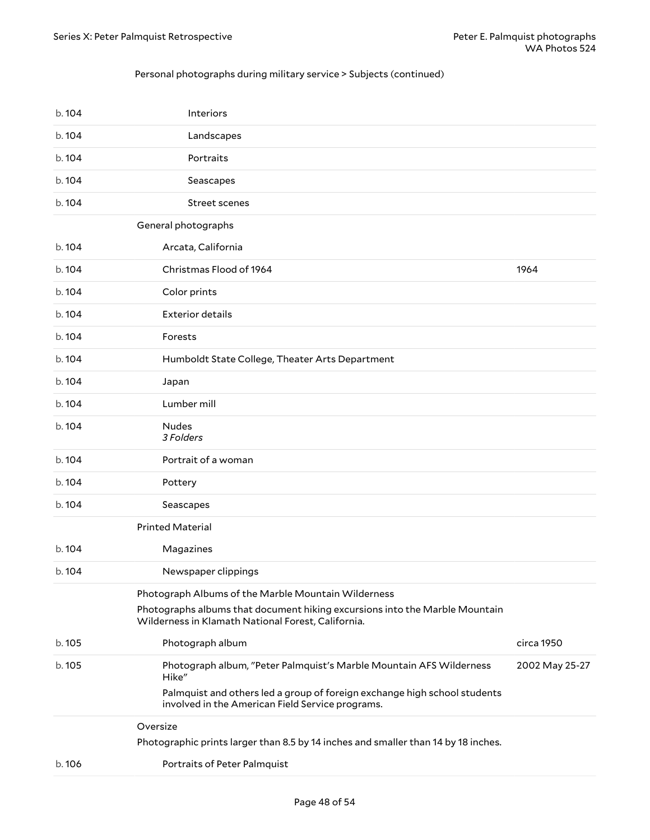### Personal photographs during military service > Subjects (continued)

| b.104  | Interiors                                                                                                                         |                |
|--------|-----------------------------------------------------------------------------------------------------------------------------------|----------------|
| b.104  | Landscapes                                                                                                                        |                |
| b.104  | Portraits                                                                                                                         |                |
| b.104  | Seascapes                                                                                                                         |                |
| b. 104 | <b>Street scenes</b>                                                                                                              |                |
|        | General photographs                                                                                                               |                |
| b.104  | Arcata, California                                                                                                                |                |
| b. 104 | Christmas Flood of 1964                                                                                                           | 1964           |
| b. 104 | Color prints                                                                                                                      |                |
| b. 104 | <b>Exterior details</b>                                                                                                           |                |
| b.104  | Forests                                                                                                                           |                |
| b.104  | Humboldt State College, Theater Arts Department                                                                                   |                |
| b. 104 | Japan                                                                                                                             |                |
| b. 104 | Lumber mill                                                                                                                       |                |
| b.104  | <b>Nudes</b><br>3 Folders                                                                                                         |                |
| b.104  | Portrait of a woman                                                                                                               |                |
| b. 104 | Pottery                                                                                                                           |                |
| b. 104 | Seascapes                                                                                                                         |                |
|        | <b>Printed Material</b>                                                                                                           |                |
| b. 104 | Magazines                                                                                                                         |                |
| b. 104 | Newspaper clippings                                                                                                               |                |
|        | Photograph Albums of the Marble Mountain Wilderness                                                                               |                |
|        | Photographs albums that document hiking excursions into the Marble Mountain<br>Wilderness in Klamath National Forest, California. |                |
| b. 105 | Photograph album                                                                                                                  | circa 1950     |
| b. 105 | Photograph album, "Peter Palmquist's Marble Mountain AFS Wilderness<br>Hike"                                                      | 2002 May 25-27 |
|        | Palmquist and others led a group of foreign exchange high school students<br>involved in the American Field Service programs.     |                |
|        | Oversize                                                                                                                          |                |
|        | Photographic prints larger than 8.5 by 14 inches and smaller than 14 by 18 inches.                                                |                |
| b.106  | Portraits of Peter Palmquist                                                                                                      |                |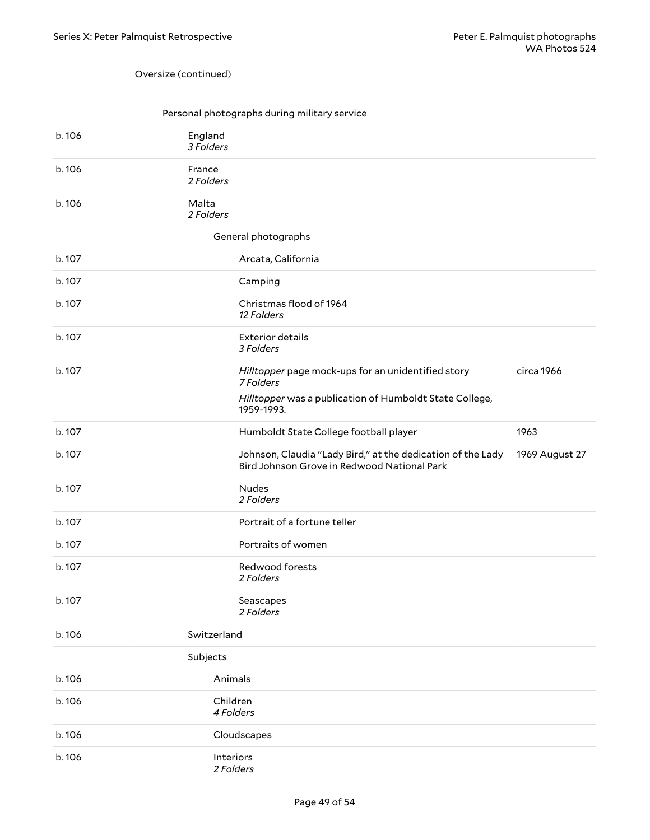#### Oversize (continued)

### Personal photographs during military service

| b.106  | England<br>3 Folders |                                                                                                            |                |
|--------|----------------------|------------------------------------------------------------------------------------------------------------|----------------|
| b. 106 | France<br>2 Folders  |                                                                                                            |                |
| b.106  | Malta<br>2 Folders   |                                                                                                            |                |
|        |                      | General photographs                                                                                        |                |
| b. 107 |                      | Arcata, California                                                                                         |                |
| b. 107 |                      | Camping                                                                                                    |                |
| b. 107 |                      | Christmas flood of 1964<br>12 Folders                                                                      |                |
| b. 107 |                      | <b>Exterior details</b><br>3 Folders                                                                       |                |
| b. 107 |                      | Hilltopper page mock-ups for an unidentified story<br>7 Folders                                            | circa 1966     |
|        |                      | Hilltopper was a publication of Humboldt State College,<br>1959-1993.                                      |                |
| b. 107 |                      | Humboldt State College football player                                                                     | 1963           |
| b. 107 |                      | Johnson, Claudia "Lady Bird," at the dedication of the Lady<br>Bird Johnson Grove in Redwood National Park | 1969 August 27 |
| b. 107 |                      | <b>Nudes</b><br>2 Folders                                                                                  |                |
| b.107  |                      | Portrait of a fortune teller                                                                               |                |
| b. 107 |                      | Portraits of women                                                                                         |                |
| b. 107 |                      | Redwood forests<br>2 Folders                                                                               |                |
| b. 107 |                      | Seascapes<br>2 Folders                                                                                     |                |
| b.106  | Switzerland          |                                                                                                            |                |
|        | Subjects             |                                                                                                            |                |
| b. 106 | Animals              |                                                                                                            |                |
| b.106  | Children             | 4 Folders                                                                                                  |                |
| b.106  |                      | Cloudscapes                                                                                                |                |
| b.106  | Interiors            | 2 Folders                                                                                                  |                |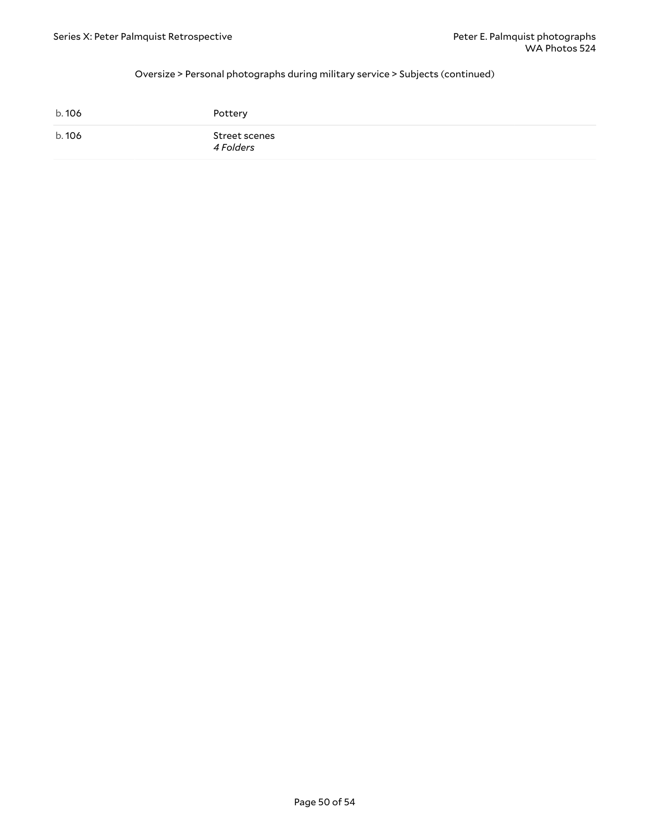### Oversize > Personal photographs during military service > Subjects (continued)

| b. 106 | Pottery                    |
|--------|----------------------------|
| b. 106 | Street scenes<br>4 Folders |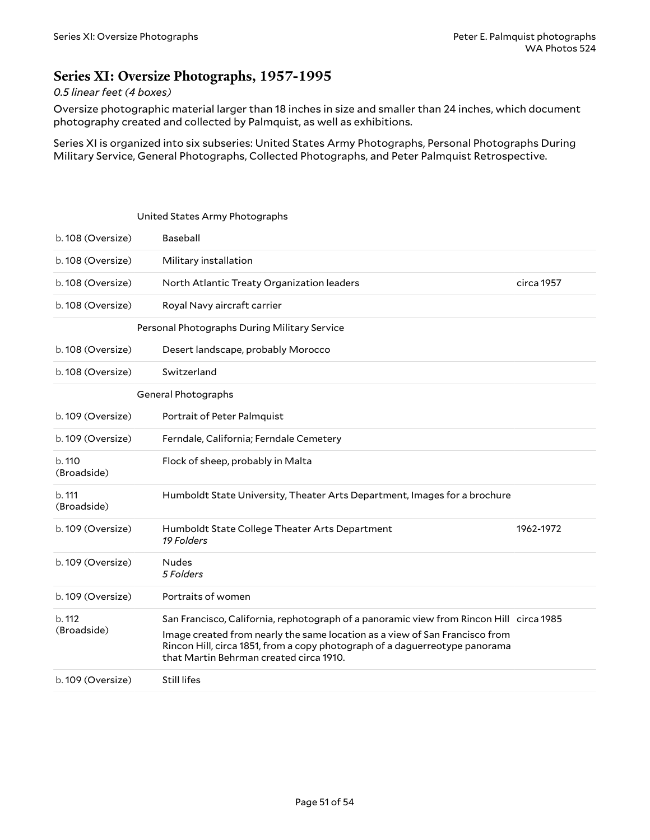## <span id="page-50-0"></span>**Series XI: Oversize Photographs, 1957-1995**

## *0.5 linear feet (4 boxes)*

Oversize photographic material larger than 18 inches in size and smaller than 24 inches, which document photography created and collected by Palmquist, as well as exhibitions.

Series XI is organized into six subseries: United States Army Photographs, Personal Photographs During Military Service, General Photographs, Collected Photographs, and Peter Palmquist Retrospective.

<span id="page-50-3"></span><span id="page-50-2"></span><span id="page-50-1"></span>

|                       | United States Army Photographs                                                                                                                                                                                                                                                                   |            |
|-----------------------|--------------------------------------------------------------------------------------------------------------------------------------------------------------------------------------------------------------------------------------------------------------------------------------------------|------------|
| b. 108 (Oversize)     | Baseball                                                                                                                                                                                                                                                                                         |            |
| b. 108 (Oversize)     | Military installation                                                                                                                                                                                                                                                                            |            |
| b. 108 (Oversize)     | North Atlantic Treaty Organization leaders                                                                                                                                                                                                                                                       | circa 1957 |
| b. 108 (Oversize)     | Royal Navy aircraft carrier                                                                                                                                                                                                                                                                      |            |
|                       | Personal Photographs During Military Service                                                                                                                                                                                                                                                     |            |
| b. 108 (Oversize)     | Desert landscape, probably Morocco                                                                                                                                                                                                                                                               |            |
| b. 108 (Oversize)     | Switzerland                                                                                                                                                                                                                                                                                      |            |
|                       | General Photographs                                                                                                                                                                                                                                                                              |            |
| b. 109 (Oversize)     | Portrait of Peter Palmquist                                                                                                                                                                                                                                                                      |            |
| b. 109 (Oversize)     | Ferndale, California; Ferndale Cemetery                                                                                                                                                                                                                                                          |            |
| b.110<br>(Broadside)  | Flock of sheep, probably in Malta                                                                                                                                                                                                                                                                |            |
| b. 111<br>(Broadside) | Humboldt State University, Theater Arts Department, Images for a brochure                                                                                                                                                                                                                        |            |
| b. 109 (Oversize)     | Humboldt State College Theater Arts Department<br>19 Folders                                                                                                                                                                                                                                     | 1962-1972  |
| b. 109 (Oversize)     | <b>Nudes</b><br>5 Folders                                                                                                                                                                                                                                                                        |            |
| b. 109 (Oversize)     | Portraits of women                                                                                                                                                                                                                                                                               |            |
| b. 112<br>(Broadside) | San Francisco, California, rephotograph of a panoramic view from Rincon Hill circa 1985<br>Image created from nearly the same location as a view of San Francisco from<br>Rincon Hill, circa 1851, from a copy photograph of a daguerreotype panorama<br>that Martin Behrman created circa 1910. |            |
| b. 109 (Oversize)     | Still lifes                                                                                                                                                                                                                                                                                      |            |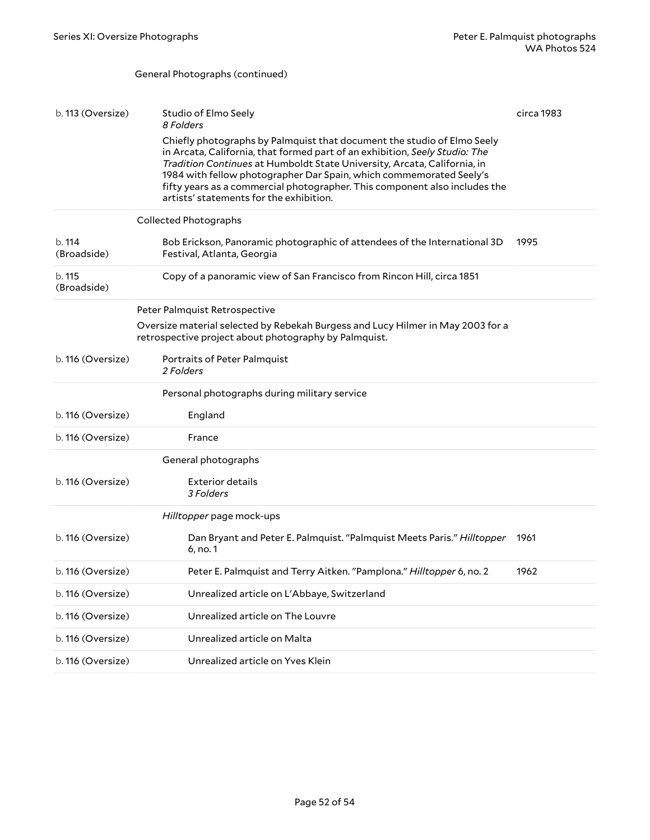<span id="page-51-1"></span><span id="page-51-0"></span>General Photographs (continued)

| b. 113 (Oversize)     | Studio of Elmo Seely<br>8 Folders                                                                                                                                                                                                                                                                                                                                                                                                  | circa 1983 |
|-----------------------|------------------------------------------------------------------------------------------------------------------------------------------------------------------------------------------------------------------------------------------------------------------------------------------------------------------------------------------------------------------------------------------------------------------------------------|------------|
|                       | Chiefly photographs by Palmquist that document the studio of Elmo Seely<br>in Arcata, California, that formed part of an exhibition, Seely Studio: The<br>Tradition Continues at Humboldt State University, Arcata, California, in<br>1984 with fellow photographer Dar Spain, which commemorated Seely's<br>fifty years as a commercial photographer. This component also includes the<br>artists' statements for the exhibition. |            |
|                       | <b>Collected Photographs</b>                                                                                                                                                                                                                                                                                                                                                                                                       |            |
| b. 114<br>(Broadside) | Bob Erickson, Panoramic photographic of attendees of the International 3D<br>Festival, Atlanta, Georgia                                                                                                                                                                                                                                                                                                                            | 1995       |
| b. 115<br>(Broadside) | Copy of a panoramic view of San Francisco from Rincon Hill, circa 1851                                                                                                                                                                                                                                                                                                                                                             |            |
|                       | Peter Palmquist Retrospective                                                                                                                                                                                                                                                                                                                                                                                                      |            |
|                       | Oversize material selected by Rebekah Burgess and Lucy Hilmer in May 2003 for a<br>retrospective project about photography by Palmquist.                                                                                                                                                                                                                                                                                           |            |
| b. 116 (Oversize)     | Portraits of Peter Palmquist<br>2 Folders                                                                                                                                                                                                                                                                                                                                                                                          |            |
|                       | Personal photographs during military service                                                                                                                                                                                                                                                                                                                                                                                       |            |
| b. 116 (Oversize)     | England                                                                                                                                                                                                                                                                                                                                                                                                                            |            |
| b. 116 (Oversize)     | France                                                                                                                                                                                                                                                                                                                                                                                                                             |            |
|                       | General photographs                                                                                                                                                                                                                                                                                                                                                                                                                |            |
| b. 116 (Oversize)     | Exterior details<br>3 Folders                                                                                                                                                                                                                                                                                                                                                                                                      |            |
|                       | Hilltopper page mock-ups                                                                                                                                                                                                                                                                                                                                                                                                           |            |
| b. 116 (Oversize)     | Dan Bryant and Peter E. Palmquist. "Palmquist Meets Paris." Hilltopper<br>6, no. 1                                                                                                                                                                                                                                                                                                                                                 | 1961       |
| b. 116 (Oversize)     | Peter E. Palmquist and Terry Aitken. "Pamplona." Hilltopper 6, no. 2                                                                                                                                                                                                                                                                                                                                                               | 1962       |
| b. 116 (Oversize)     | Unrealized article on L'Abbaye, Switzerland                                                                                                                                                                                                                                                                                                                                                                                        |            |
| b. 116 (Oversize)     | Unrealized article on The Louvre                                                                                                                                                                                                                                                                                                                                                                                                   |            |
| b. 116 (Oversize)     | Unrealized article on Malta                                                                                                                                                                                                                                                                                                                                                                                                        |            |
| b. 116 (Oversize)     | Unrealized article on Yves Klein                                                                                                                                                                                                                                                                                                                                                                                                   |            |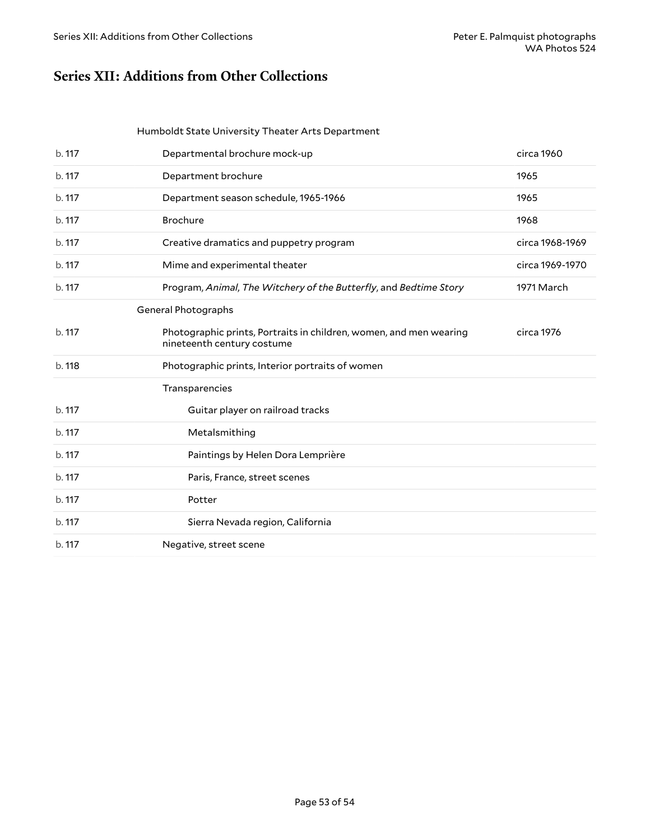## <span id="page-52-0"></span>**Series XII: Additions from Other Collections**

#### Humboldt State University Theater Arts Department

| b. 117 | Departmental brochure mock-up                                                                    | circa 1960      |
|--------|--------------------------------------------------------------------------------------------------|-----------------|
| b. 117 | Department brochure                                                                              | 1965            |
| b. 117 | Department season schedule, 1965-1966                                                            | 1965            |
| b. 117 | Brochure                                                                                         | 1968            |
| b. 117 | Creative dramatics and puppetry program                                                          | circa 1968-1969 |
| b. 117 | Mime and experimental theater                                                                    | circa 1969-1970 |
| b. 117 | Program, Animal, The Witchery of the Butterfly, and Bedtime Story                                | 1971 March      |
|        | General Photographs                                                                              |                 |
| b. 117 | Photographic prints, Portraits in children, women, and men wearing<br>nineteenth century costume | circa 1976      |
| b. 118 | Photographic prints, Interior portraits of women                                                 |                 |
|        | Transparencies                                                                                   |                 |
| b. 117 | Guitar player on railroad tracks                                                                 |                 |
| b. 117 | Metalsmithing                                                                                    |                 |
| b. 117 | Paintings by Helen Dora Lemprière                                                                |                 |
| b. 117 | Paris, France, street scenes                                                                     |                 |
| b. 117 | Potter                                                                                           |                 |
| b. 117 | Sierra Nevada region, California                                                                 |                 |
| b. 117 | Negative, street scene                                                                           |                 |